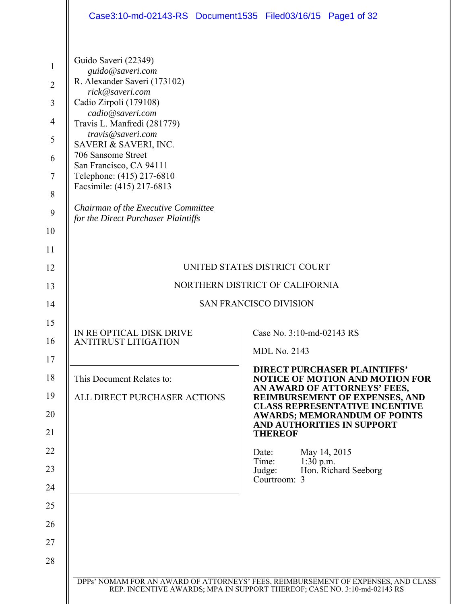|                                                                                                        |                                                                                                                                                                                                                                                                                                                                                                                                                 | Case3:10-md-02143-RS Document1535 Filed03/16/15 Page1 of 32                                                                                                                                                                                                                                                                                                                          |
|--------------------------------------------------------------------------------------------------------|-----------------------------------------------------------------------------------------------------------------------------------------------------------------------------------------------------------------------------------------------------------------------------------------------------------------------------------------------------------------------------------------------------------------|--------------------------------------------------------------------------------------------------------------------------------------------------------------------------------------------------------------------------------------------------------------------------------------------------------------------------------------------------------------------------------------|
| $\mathbf{1}$<br>$\overline{2}$<br>$\overline{3}$<br>$\overline{4}$<br>5<br>6<br>$\tau$<br>8<br>9<br>10 | Guido Saveri (22349)<br>guido@saveri.com<br>R. Alexander Saveri (173102)<br>rick@saveri.com<br>Cadio Zirpoli (179108)<br>cadio@saveri.com<br>Travis L. Manfredi (281779)<br>travis@saveri.com<br>SAVERI & SAVERI, INC.<br>706 Sansome Street<br>San Francisco, CA 94111<br>Telephone: (415) 217-6810<br>Facsimile: (415) 217-6813<br>Chairman of the Executive Committee<br>for the Direct Purchaser Plaintiffs |                                                                                                                                                                                                                                                                                                                                                                                      |
| 11                                                                                                     |                                                                                                                                                                                                                                                                                                                                                                                                                 |                                                                                                                                                                                                                                                                                                                                                                                      |
| 12                                                                                                     |                                                                                                                                                                                                                                                                                                                                                                                                                 | UNITED STATES DISTRICT COURT                                                                                                                                                                                                                                                                                                                                                         |
| 13                                                                                                     |                                                                                                                                                                                                                                                                                                                                                                                                                 | NORTHERN DISTRICT OF CALIFORNIA                                                                                                                                                                                                                                                                                                                                                      |
| 14                                                                                                     |                                                                                                                                                                                                                                                                                                                                                                                                                 | <b>SAN FRANCISCO DIVISION</b>                                                                                                                                                                                                                                                                                                                                                        |
| 15<br>16<br>17<br>18<br>19<br>20<br>21<br>22                                                           | IN RE OPTICAL DISK DRIVE<br><b>ANTITRUST LITIGATION</b><br>This Document Relates to:<br>ALL DIRECT PURCHASER ACTIONS                                                                                                                                                                                                                                                                                            | Case No. 3:10-md-02143 RS<br><b>MDL No. 2143</b><br><b>DIRECT PURCHASER PLAINTIFFS'</b><br><b>NOTICE OF MOTION AND MOTION FOR</b><br>AN AWARD OF ATTORNEYS' FEES,<br>REIMBURSEMENT OF EXPENSES, AND<br><b>CLASS REPRESENTATIVE INCENTIVE</b><br><b>AWARDS; MEMORANDUM OF POINTS</b><br>AND AUTHORITIES IN SUPPORT<br><b>THEREOF</b><br>May 14, 2015<br>Date:<br>Time:<br>$1:30$ p.m. |
| 23                                                                                                     |                                                                                                                                                                                                                                                                                                                                                                                                                 | Hon. Richard Seeborg<br>Judge:<br>Courtroom: 3                                                                                                                                                                                                                                                                                                                                       |
| 24<br>25                                                                                               |                                                                                                                                                                                                                                                                                                                                                                                                                 |                                                                                                                                                                                                                                                                                                                                                                                      |
| 26                                                                                                     |                                                                                                                                                                                                                                                                                                                                                                                                                 |                                                                                                                                                                                                                                                                                                                                                                                      |
| 27                                                                                                     |                                                                                                                                                                                                                                                                                                                                                                                                                 |                                                                                                                                                                                                                                                                                                                                                                                      |
| 28                                                                                                     |                                                                                                                                                                                                                                                                                                                                                                                                                 |                                                                                                                                                                                                                                                                                                                                                                                      |
|                                                                                                        |                                                                                                                                                                                                                                                                                                                                                                                                                 |                                                                                                                                                                                                                                                                                                                                                                                      |
|                                                                                                        |                                                                                                                                                                                                                                                                                                                                                                                                                 | DPPs' NOMAM FOR AN AWARD OF ATTORNEYS' FEES, REIMBURSEMENT OF EXPENSES, AND CLASS<br>REP. INCENTIVE AWARDS; MPA IN SUPPORT THEREOF; CASE NO. 3:10-md-02143 RS                                                                                                                                                                                                                        |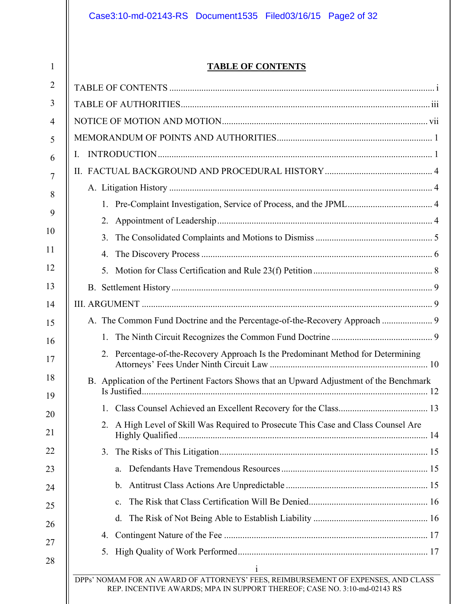1

# **TABLE OF CONTENTS**

| $\overline{2}$ |                                                                                                                                                               |  |  |
|----------------|---------------------------------------------------------------------------------------------------------------------------------------------------------------|--|--|
| 3              |                                                                                                                                                               |  |  |
| $\overline{4}$ |                                                                                                                                                               |  |  |
| 5              |                                                                                                                                                               |  |  |
| 6              |                                                                                                                                                               |  |  |
| $\overline{7}$ |                                                                                                                                                               |  |  |
| 8              |                                                                                                                                                               |  |  |
| 9              |                                                                                                                                                               |  |  |
| 10             | 2.                                                                                                                                                            |  |  |
|                | 3 <sub>1</sub>                                                                                                                                                |  |  |
| 11             | 4.                                                                                                                                                            |  |  |
| 12             | 5.                                                                                                                                                            |  |  |
| 13             |                                                                                                                                                               |  |  |
| 14             |                                                                                                                                                               |  |  |
| 15             | A. The Common Fund Doctrine and the Percentage-of-the-Recovery Approach  9                                                                                    |  |  |
| 16             | $1_{\cdot}$                                                                                                                                                   |  |  |
| 17             | 2. Percentage-of-the-Recovery Approach Is the Predominant Method for Determining                                                                              |  |  |
| 18<br>19       | B. Application of the Pertinent Factors Shows that an Upward Adjustment of the Benchmark                                                                      |  |  |
| 20             |                                                                                                                                                               |  |  |
| 21             | 2. A High Level of Skill Was Required to Prosecute This Case and Class Counsel Are                                                                            |  |  |
| 22             |                                                                                                                                                               |  |  |
| 23             | a.                                                                                                                                                            |  |  |
| 24             | $b_{\cdot}$                                                                                                                                                   |  |  |
| 25             | $\mathbf{c}$ .                                                                                                                                                |  |  |
| 26             | d.                                                                                                                                                            |  |  |
| 27             |                                                                                                                                                               |  |  |
| 28             | 5.                                                                                                                                                            |  |  |
|                | DPPs' NOMAM FOR AN AWARD OF ATTORNEYS' FEES, REIMBURSEMENT OF EXPENSES, AND CLASS<br>REP. INCENTIVE AWARDS; MPA IN SUPPORT THEREOF; CASE NO. 3:10-md-02143 RS |  |  |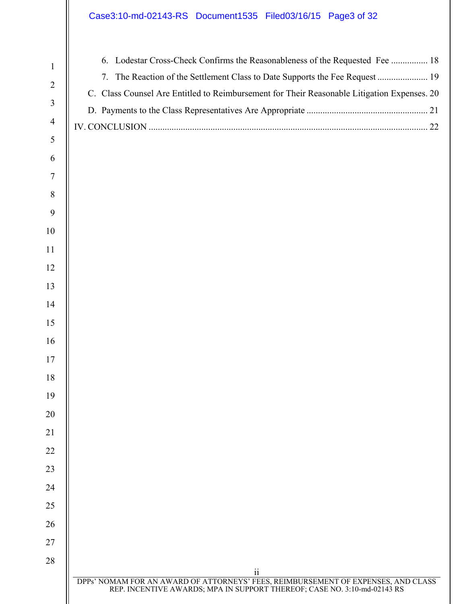# Case3:10-md-02143-RS Document1535 Filed03/16/15 Page3 of 32

| 6. Lodestar Cross-Check Confirms the Reasonableness of the Requested Fee  18                |  |
|---------------------------------------------------------------------------------------------|--|
|                                                                                             |  |
| C. Class Counsel Are Entitled to Reimbursement for Their Reasonable Litigation Expenses. 20 |  |
|                                                                                             |  |
|                                                                                             |  |
|                                                                                             |  |
|                                                                                             |  |

| $\cdot \cdot$                                                                                                                                                 |
|---------------------------------------------------------------------------------------------------------------------------------------------------------------|
| DPPs' NOMAM FOR AN AWARD OF ATTORNEYS' FEES, REIMBURSEMENT OF EXPENSES, AND CLASS<br>REP. INCENTIVE AWARDS; MPA IN SUPPORT THEREOF; CASE NO. 3:10-md-02143 RS |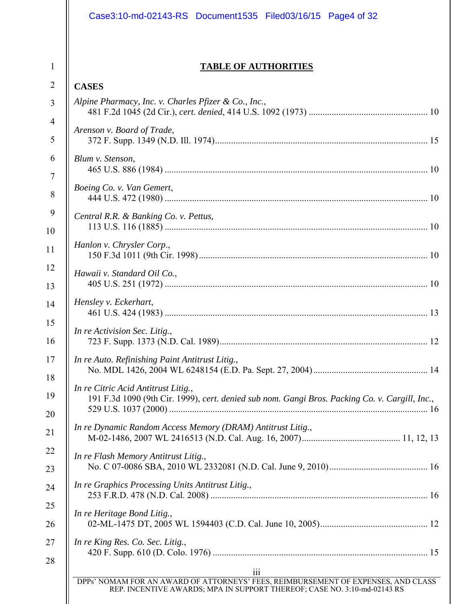| <b>TABLE OF AUTHORITIES</b>                                                                                                           |  |
|---------------------------------------------------------------------------------------------------------------------------------------|--|
|                                                                                                                                       |  |
| <b>CASES</b>                                                                                                                          |  |
| Alpine Pharmacy, Inc. v. Charles Pfizer & Co., Inc.,                                                                                  |  |
| Arenson v. Board of Trade,                                                                                                            |  |
|                                                                                                                                       |  |
| Blum v. Stenson,                                                                                                                      |  |
|                                                                                                                                       |  |
| Boeing Co. v. Van Gemert,                                                                                                             |  |
| Central R.R. & Banking Co. v. Pettus,                                                                                                 |  |
|                                                                                                                                       |  |
| Hanlon v. Chrysler Corp.,                                                                                                             |  |
|                                                                                                                                       |  |
| Hawaii v. Standard Oil Co.,                                                                                                           |  |
|                                                                                                                                       |  |
| Hensley v. Eckerhart,                                                                                                                 |  |
| In re Activision Sec. Litig.,                                                                                                         |  |
|                                                                                                                                       |  |
| In re Auto. Refinishing Paint Antitrust Litig.,                                                                                       |  |
|                                                                                                                                       |  |
| In re Citric Acid Antitrust Litig.,<br>191 F.3d 1090 (9th Cir. 1999), cert. denied sub nom. Gangi Bros. Packing Co. v. Cargill, Inc., |  |
|                                                                                                                                       |  |
| In re Dynamic Random Access Memory (DRAM) Antitrust Litig.,                                                                           |  |
|                                                                                                                                       |  |
| In re Flash Memory Antitrust Litig.,                                                                                                  |  |
|                                                                                                                                       |  |
| In re Graphics Processing Units Antitrust Litig.,                                                                                     |  |
| In re Heritage Bond Litig.,                                                                                                           |  |
|                                                                                                                                       |  |
| In re King Res. Co. Sec. Litig.,                                                                                                      |  |
|                                                                                                                                       |  |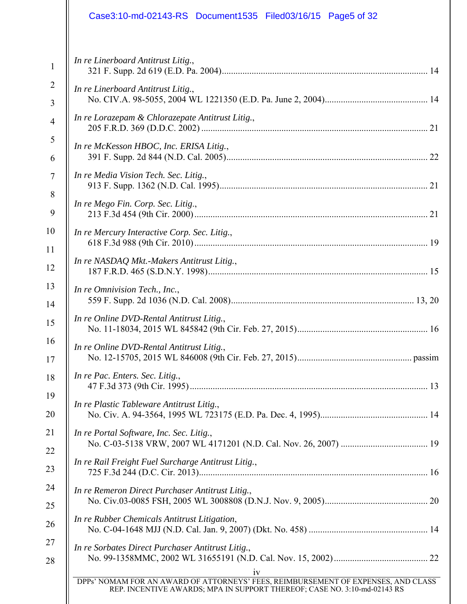| Case3:10-md-02143-RS Document1535 Filed03/16/15 Page5 of 32 |  |
|-------------------------------------------------------------|--|
| In re Linerboard Antitrust Litig.,                          |  |
| In re Linerboard Antitrust Litig.,                          |  |
| In re Lorazepam & Chlorazepate Antitrust Litig.,            |  |
| In re McKesson HBOC, Inc. ERISA Litig.,                     |  |
| In re Media Vision Tech. Sec. Litig.,                       |  |
| In re Mego Fin. Corp. Sec. Litig.,                          |  |
| In re Mercury Interactive Corp. Sec. Litig.,                |  |
| In re NASDAQ Mkt.-Makers Antitrust Litig.,                  |  |
| In re Omnivision Tech., Inc.,                               |  |
| In re Online DVD-Rental Antitrust Litig.,                   |  |
| In re Online DVD-Rental Antitrust Litig.,                   |  |
| In re Pac. Enters. Sec. Litig.,                             |  |
| In re Plastic Tableware Antitrust Litig.,                   |  |
| In re Portal Software, Inc. Sec. Litig.,                    |  |
| In re Rail Freight Fuel Surcharge Antitrust Litig.,         |  |
| In re Remeron Direct Purchaser Antitrust Litig.,            |  |
| In re Rubber Chemicals Antitrust Litigation,                |  |
| In re Sorbates Direct Purchaser Antitrust Litig.,           |  |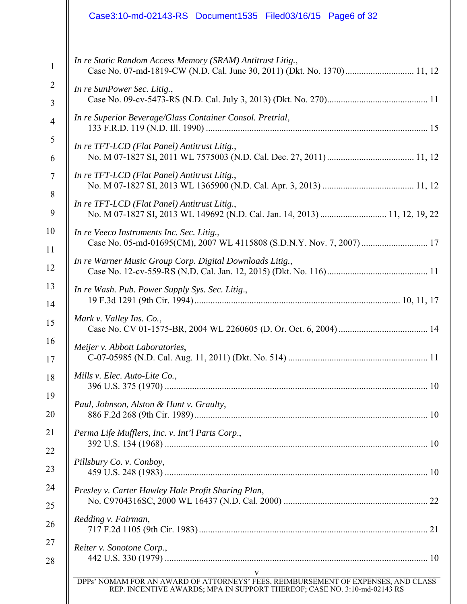|                     | Case3:10-md-02143-RS Document1535 Filed03/16/15 Page6 of 32                                                                                                        |
|---------------------|--------------------------------------------------------------------------------------------------------------------------------------------------------------------|
| $\mathbf{1}$        | In re Static Random Access Memory (SRAM) Antitrust Litig.,                                                                                                         |
| $\overline{2}$<br>3 | In re SunPower Sec. Litig.,                                                                                                                                        |
| $\overline{4}$      | In re Superior Beverage/Glass Container Consol. Pretrial,                                                                                                          |
| 5<br>6              | In re TFT-LCD (Flat Panel) Antitrust Litig.,                                                                                                                       |
| 7                   | In re TFT-LCD (Flat Panel) Antitrust Litig.,                                                                                                                       |
| 8<br>9              | In re TFT-LCD (Flat Panel) Antitrust Litig.,<br>No. M 07-1827 SI, 2013 WL 149692 (N.D. Cal. Jan. 14, 2013)  11, 12, 19, 22                                         |
| 10<br>11            | In re Veeco Instruments Inc. Sec. Litig.,                                                                                                                          |
| 12                  | In re Warner Music Group Corp. Digital Downloads Litig.,                                                                                                           |
| 13<br>14            | In re Wash. Pub. Power Supply Sys. Sec. Litig.,                                                                                                                    |
| 15                  | Mark v. Valley Ins. Co.,                                                                                                                                           |
| 16                  | Meijer v. Abbott Laboratories,                                                                                                                                     |
|                     | Mills v. Elec. Auto-Lite Co.,                                                                                                                                      |
|                     | Paul, Johnson, Alston & Hunt v. Graulty,                                                                                                                           |
|                     | Perma Life Mufflers, Inc. v. Int'l Parts Corp.,                                                                                                                    |
|                     | Pillsbury Co. v. Conboy,                                                                                                                                           |
|                     | Presley v. Carter Hawley Hale Profit Sharing Plan,                                                                                                                 |
|                     | Redding v. Fairman,                                                                                                                                                |
|                     | Reiter v. Sonotone Corp.,                                                                                                                                          |
|                     | V<br>DPPs' NOMAM FOR AN AWARD OF ATTORNEYS' FEES, REIMBURSEMENT OF EXPENSES, AND CLASS<br>REP. INCENTIVE AWARDS; MPA IN SUPPORT THEREOF; CASE NO. 3:10-md-02143 RS |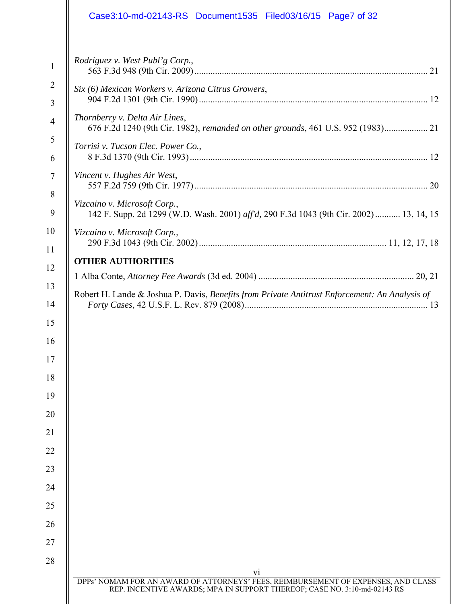|                                                                                        | Case3:10-md-02143-RS Document1535 Filed03/16/15 Page7 of 32                                                                                                                                                                                                                      |
|----------------------------------------------------------------------------------------|----------------------------------------------------------------------------------------------------------------------------------------------------------------------------------------------------------------------------------------------------------------------------------|
| $\mathbf{1}$<br>$\overline{2}$<br>3<br>$\overline{4}$<br>5<br>6<br>$\overline{7}$<br>8 | Rodriguez v. West Publ'g Corp.,<br>Six (6) Mexican Workers v. Arizona Citrus Growers,<br>Thornberry v. Delta Air Lines,<br>676 F.2d 1240 (9th Cir. 1982), remanded on other grounds, 461 U.S. 952 (1983) 21<br>Torrisi v. Tucson Elec. Power Co.,<br>Vincent v. Hughes Air West, |
| 9                                                                                      | Vizcaino v. Microsoft Corp.,<br>142 F. Supp. 2d 1299 (W.D. Wash. 2001) aff'd, 290 F.3d 1043 (9th Cir. 2002) 13, 14, 15                                                                                                                                                           |
| 10<br>11                                                                               | Vizcaino v. Microsoft Corp.,                                                                                                                                                                                                                                                     |
| 13<br>14<br>15<br>16<br>17<br>18<br>19                                                 | Robert H. Lande & Joshua P. Davis, Benefits from Private Antitrust Enforcement: An Analysis of                                                                                                                                                                                   |
| 20<br>21<br>22                                                                         |                                                                                                                                                                                                                                                                                  |
| 23<br>24<br>25                                                                         |                                                                                                                                                                                                                                                                                  |
| 26<br>27<br>28                                                                         |                                                                                                                                                                                                                                                                                  |
|                                                                                        | V <sub>i</sub><br>DPPs' NOMAM FOR AN AWARD OF ATTORNEYS' FEES, REIMBURSEMENT OF EXPENSES, AND CLASS REP. INCENTIVE AWARDS; MPA IN SUPPORT THEREOF; CASE NO. 3:10-md-02143 RS                                                                                                     |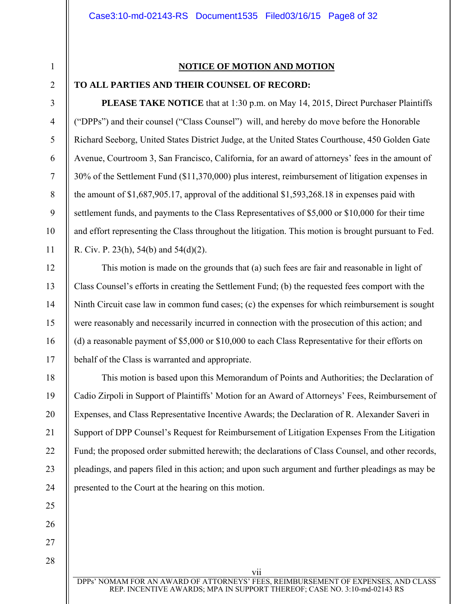#### **NOTICE OF MOTION AND MOTION**

### 2

1

3

4

5

6

7

8

9

10

11

12

13

14

15

16

17

18

19

20

21

22

23

24

25

## **TO ALL PARTIES AND THEIR COUNSEL OF RECORD:**

**PLEASE TAKE NOTICE** that at 1:30 p.m. on May 14, 2015, Direct Purchaser Plaintiffs ("DPPs") and their counsel ("Class Counsel") will, and hereby do move before the Honorable Richard Seeborg, United States District Judge, at the United States Courthouse, 450 Golden Gate Avenue, Courtroom 3, San Francisco, California, for an award of attorneys' fees in the amount of 30% of the Settlement Fund (\$11,370,000) plus interest, reimbursement of litigation expenses in the amount of \$1,687,905.17, approval of the additional \$1,593,268.18 in expenses paid with settlement funds, and payments to the Class Representatives of \$5,000 or \$10,000 for their time and effort representing the Class throughout the litigation. This motion is brought pursuant to Fed. R. Civ. P. 23(h), 54(b) and 54(d)(2).

This motion is made on the grounds that (a) such fees are fair and reasonable in light of Class Counsel's efforts in creating the Settlement Fund; (b) the requested fees comport with the Ninth Circuit case law in common fund cases; (c) the expenses for which reimbursement is sought were reasonably and necessarily incurred in connection with the prosecution of this action; and (d) a reasonable payment of \$5,000 or \$10,000 to each Class Representative for their efforts on behalf of the Class is warranted and appropriate.

This motion is based upon this Memorandum of Points and Authorities; the Declaration of Cadio Zirpoli in Support of Plaintiffs' Motion for an Award of Attorneys' Fees, Reimbursement of Expenses, and Class Representative Incentive Awards; the Declaration of R. Alexander Saveri in Support of DPP Counsel's Request for Reimbursement of Litigation Expenses From the Litigation Fund; the proposed order submitted herewith; the declarations of Class Counsel, and other records, pleadings, and papers filed in this action; and upon such argument and further pleadings as may be presented to the Court at the hearing on this motion.

DPPs' NOMAM FOR AN AWARD OF ATTORNEYS' FEES, REIMBURSEMENT OF EXPENSES, AND CLASS REP. INCENTIVE AWARDS; MPA IN SUPPORT THEREOF; CASE NO. 3:10-md-02143 RS

vii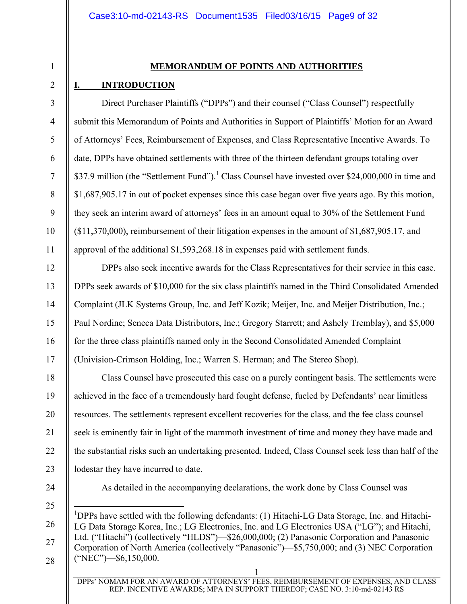#### **MEMORANDUM OF POINTS AND AUTHORITIES**

#### **I. INTRODUCTION**

1

2

3

4

5

6

7

8

9

10

11

12

13

14

15

16

17

18

19

20

21

22

23

Direct Purchaser Plaintiffs ("DPPs") and their counsel ("Class Counsel") respectfully submit this Memorandum of Points and Authorities in Support of Plaintiffs' Motion for an Award of Attorneys' Fees, Reimbursement of Expenses, and Class Representative Incentive Awards. To date, DPPs have obtained settlements with three of the thirteen defendant groups totaling over \$37.9 million (the "Settlement Fund").<sup>1</sup> Class Counsel have invested over \$24,000,000 in time and \$1,687,905.17 in out of pocket expenses since this case began over five years ago. By this motion, they seek an interim award of attorneys' fees in an amount equal to 30% of the Settlement Fund (\$11,370,000), reimbursement of their litigation expenses in the amount of \$1,687,905.17, and approval of the additional \$1,593,268.18 in expenses paid with settlement funds.

DPPs also seek incentive awards for the Class Representatives for their service in this case. DPPs seek awards of \$10,000 for the six class plaintiffs named in the Third Consolidated Amended Complaint (JLK Systems Group, Inc. and Jeff Kozik; Meijer, Inc. and Meijer Distribution, Inc.; Paul Nordine; Seneca Data Distributors, Inc.; Gregory Starrett; and Ashely Tremblay), and \$5,000 for the three class plaintiffs named only in the Second Consolidated Amended Complaint (Univision-Crimson Holding, Inc.; Warren S. Herman; and The Stereo Shop).

Class Counsel have prosecuted this case on a purely contingent basis. The settlements were achieved in the face of a tremendously hard fought defense, fueled by Defendants' near limitless resources. The settlements represent excellent recoveries for the class, and the fee class counsel seek is eminently fair in light of the mammoth investment of time and money they have made and the substantial risks such an undertaking presented. Indeed, Class Counsel seek less than half of the lodestar they have incurred to date.

24

As detailed in the accompanying declarations, the work done by Class Counsel was

25

 $\overline{a}$ 

26 27

28

<sup>1</sup>DPPs have settled with the following defendants: (1) Hitachi-LG Data Storage, Inc. and Hitachi-LG Data Storage Korea, Inc.; LG Electronics, Inc. and LG Electronics USA ("LG"); and Hitachi, Ltd. ("Hitachi") (collectively "HLDS")—\$26,000,000; (2) Panasonic Corporation and Panasonic Corporation of North America (collectively "Panasonic")—\$5,750,000; and (3) NEC Corporation ("NEC")—\$6,150,000.

1 DPPs' NOMAM FOR AN AWARD OF ATTORNEYS' FEES, REIMBURSEMENT OF EXPENSES, AND CLASS REP. INCENTIVE AWARDS; MPA IN SUPPORT THEREOF; CASE NO. 3:10-md-02143 RS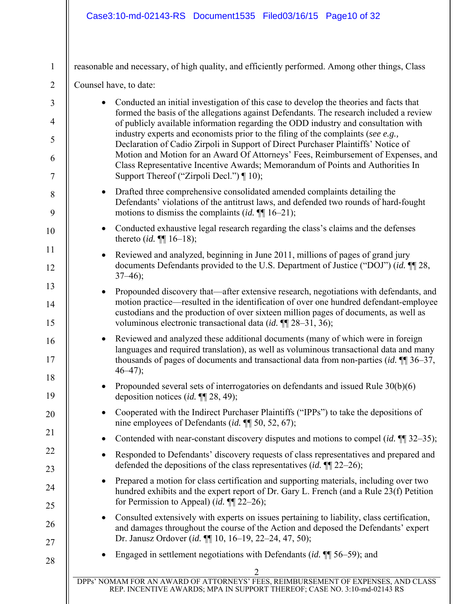| $\mathbf{1}$                     |                          | reasonable and necessary, of high quality, and efficiently performed. Among other things, Class                                                                                                                                                                         |
|----------------------------------|--------------------------|-------------------------------------------------------------------------------------------------------------------------------------------------------------------------------------------------------------------------------------------------------------------------|
| $\overline{2}$                   | Counsel have, to date:   |                                                                                                                                                                                                                                                                         |
| $\mathfrak{Z}$<br>$\overline{4}$ |                          | Conducted an initial investigation of this case to develop the theories and facts that<br>formed the basis of the allegations against Defendants. The research included a review<br>of publicly available information regarding the ODD industry and consultation with  |
| 5                                |                          | industry experts and economists prior to the filing of the complaints (see e.g.,<br>Declaration of Cadio Zirpoli in Support of Direct Purchaser Plaintiffs' Notice of                                                                                                   |
| 6                                |                          | Motion and Motion for an Award Of Attorneys' Fees, Reimbursement of Expenses, and<br>Class Representative Incentive Awards; Memorandum of Points and Authorities In                                                                                                     |
| $\tau$                           |                          | Support Thereof ("Zirpoli Decl.") ¶ 10);                                                                                                                                                                                                                                |
| 8<br>9                           | $\bullet$                | Drafted three comprehensive consolidated amended complaints detailing the<br>Defendants' violations of the antitrust laws, and defended two rounds of hard-fought<br>motions to dismiss the complaints ( <i>id.</i> $\P$ [16–21);                                       |
| 10                               |                          | Conducted exhaustive legal research regarding the class's claims and the defenses<br>thereto <i>(id.</i> $\P\P$ 16–18);                                                                                                                                                 |
| 11<br>12                         | $37-46$ ;                | Reviewed and analyzed, beginning in June 2011, millions of pages of grand jury<br>documents Defendants provided to the U.S. Department of Justice ("DOJ") (id. ¶ 28,                                                                                                    |
| 13                               | $\bullet$                | Propounded discovery that—after extensive research, negotiations with defendants, and                                                                                                                                                                                   |
| 14<br>15                         |                          | motion practice—resulted in the identification of over one hundred defendant-employee<br>custodians and the production of over sixteen million pages of documents, as well as<br>voluminous electronic transactional data (id. ¶ 28–31, 36);                            |
| 16<br>17                         | $\bullet$<br>$46 - 47$ ; | Reviewed and analyzed these additional documents (many of which were in foreign<br>languages and required translation), as well as voluminous transactional data and many<br>thousands of pages of documents and transactional data from non-parties (id. $\P$ ] 36–37, |
| 18<br>19                         |                          | Propounded several sets of interrogatories on defendants and issued Rule 30(b)(6)<br>deposition notices ( <i>id.</i> $\P$ [28, 49);                                                                                                                                     |
| 20                               |                          | Cooperated with the Indirect Purchaser Plaintiffs ("IPPs") to take the depositions of<br>nine employees of Defendants (id. $\P$ 50, 52, 67);                                                                                                                            |
| 21                               |                          | Contended with near-constant discovery disputes and motions to compel ( <i>id.</i> $\P$ ] 32–35);                                                                                                                                                                       |
| 22<br>23                         | $\bullet$                | Responded to Defendants' discovery requests of class representatives and prepared and<br>defended the depositions of the class representatives $(id. \P 22-26)$ ;                                                                                                       |
| 24                               |                          | Prepared a motion for class certification and supporting materials, including over two<br>hundred exhibits and the expert report of Dr. Gary L. French (and a Rule 23(f) Petition                                                                                       |
| 25                               |                          | for Permission to Appeal) (id. $\P$ [22–26);                                                                                                                                                                                                                            |
| 26                               | $\bullet$                | Consulted extensively with experts on issues pertaining to liability, class certification,<br>and damages throughout the course of the Action and deposed the Defendants' expert<br>Dr. Janusz Ordover (id. ¶ 10, 16-19, 22-24, 47, 50);                                |
| 27                               |                          | Engaged in settlement negotiations with Defendants (id. $\P$ 56–59); and                                                                                                                                                                                                |
| 28                               |                          | 2                                                                                                                                                                                                                                                                       |

DPPs' NOMAM FOR AN AWARD OF ATTORNEYS' FEES, REIMBURSEMENT OF EXPENSES, AND CLASS REP. INCENTIVE AWARDS; MPA IN SUPPORT THEREOF; CASE NO. 3:10-md-02143 RS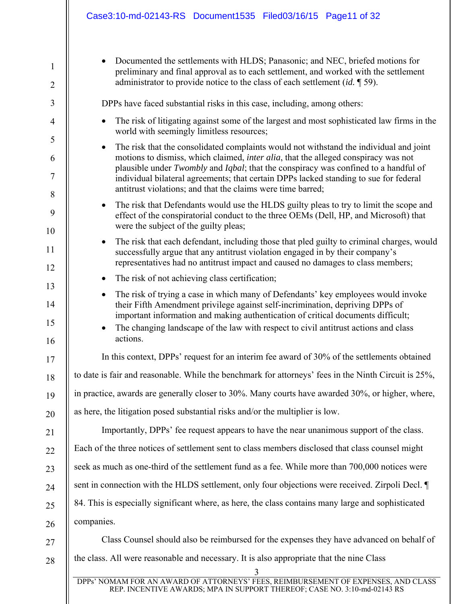| $\mathbf{1}$        | Documented the settlements with HLDS; Panasonic; and NEC, briefed motions for<br>preliminary and final approval as to each settlement, and worked with the settlement<br>administrator to provide notice to the class of each settlement $(id, \P 59)$ . |  |
|---------------------|----------------------------------------------------------------------------------------------------------------------------------------------------------------------------------------------------------------------------------------------------------|--|
| $\overline{2}$      |                                                                                                                                                                                                                                                          |  |
| 3                   | DPPs have faced substantial risks in this case, including, among others:                                                                                                                                                                                 |  |
| $\overline{4}$<br>5 | The risk of litigating against some of the largest and most sophisticated law firms in the<br>world with seemingly limitless resources;                                                                                                                  |  |
|                     | The risk that the consolidated complaints would not withstand the individual and joint<br>$\bullet$<br>motions to dismiss, which claimed, <i>inter alia</i> , that the alleged conspiracy was not                                                        |  |
| 6<br>$\tau$         | plausible under Twombly and Iqbal; that the conspiracy was confined to a handful of<br>individual bilateral agreements; that certain DPPs lacked standing to sue for federal                                                                             |  |
| 8                   | antitrust violations; and that the claims were time barred;                                                                                                                                                                                              |  |
| 9                   | The risk that Defendants would use the HLDS guilty pleas to try to limit the scope and<br>$\bullet$<br>effect of the conspiratorial conduct to the three OEMs (Dell, HP, and Microsoft) that<br>were the subject of the guilty pleas;                    |  |
| 10                  | The risk that each defendant, including those that pled guilty to criminal charges, would<br>$\bullet$                                                                                                                                                   |  |
| 11<br>12            | successfully argue that any antitrust violation engaged in by their company's<br>representatives had no antitrust impact and caused no damages to class members;                                                                                         |  |
| 13                  | The risk of not achieving class certification;                                                                                                                                                                                                           |  |
| 14                  | The risk of trying a case in which many of Defendants' key employees would invoke<br>$\bullet$<br>their Fifth Amendment privilege against self-incrimination, depriving DPPs of                                                                          |  |
| 15<br>16            | important information and making authentication of critical documents difficult;<br>The changing landscape of the law with respect to civil antitrust actions and class<br>actions.                                                                      |  |
| 17                  | In this context, DPPs' request for an interim fee award of 30% of the settlements obtained                                                                                                                                                               |  |
| 18                  | to date is fair and reasonable. While the benchmark for attorneys' fees in the Ninth Circuit is 25%,                                                                                                                                                     |  |
| 19                  | in practice, awards are generally closer to 30%. Many courts have awarded 30%, or higher, where,                                                                                                                                                         |  |
| 20                  | as here, the litigation posed substantial risks and/or the multiplier is low.                                                                                                                                                                            |  |
| 21                  | Importantly, DPPs' fee request appears to have the near unanimous support of the class.                                                                                                                                                                  |  |
| 22                  | Each of the three notices of settlement sent to class members disclosed that class counsel might                                                                                                                                                         |  |
| 23                  | seek as much as one-third of the settlement fund as a fee. While more than 700,000 notices were                                                                                                                                                          |  |
| 24                  | sent in connection with the HLDS settlement, only four objections were received. Zirpoli Decl.                                                                                                                                                           |  |
| 25                  | 84. This is especially significant where, as here, the class contains many large and sophisticated                                                                                                                                                       |  |
| 26                  | companies.                                                                                                                                                                                                                                               |  |
| 27                  | Class Counsel should also be reimbursed for the expenses they have advanced on behalf of                                                                                                                                                                 |  |
| 28                  | the class. All were reasonable and necessary. It is also appropriate that the nine Class<br>3                                                                                                                                                            |  |
|                     | DPPs' NOMAM FOR AN AWARD OF ATTORNEYS' FEES, REIMBURSEMENT OF EXPENSES, AND CLASS                                                                                                                                                                        |  |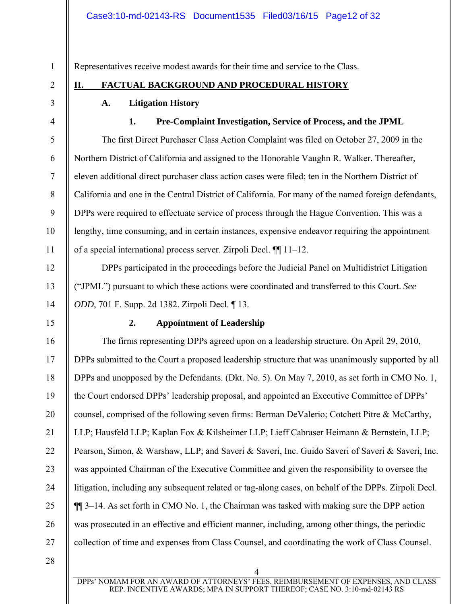Representatives receive modest awards for their time and service to the Class.

## **II. FACTUAL BACKGROUND AND PROCEDURAL HISTORY**

## **A. Litigation History**

## **1. Pre-Complaint Investigation, Service of Process, and the JPML**

The first Direct Purchaser Class Action Complaint was filed on October 27, 2009 in the Northern District of California and assigned to the Honorable Vaughn R. Walker. Thereafter, eleven additional direct purchaser class action cases were filed; ten in the Northern District of California and one in the Central District of California. For many of the named foreign defendants, DPPs were required to effectuate service of process through the Hague Convention. This was a lengthy, time consuming, and in certain instances, expensive endeavor requiring the appointment of a special international process server. Zirpoli Decl. ¶¶ 11–12.

DPPs participated in the proceedings before the Judicial Panel on Multidistrict Litigation ("JPML") pursuant to which these actions were coordinated and transferred to this Court. *See ODD*, 701 F. Supp. 2d 1382. Zirpoli Decl. ¶ 13.

15

16

17

18

19

20

21

22

23

24

25

26

27

1

2

3

4

5

6

7

8

9

10

11

12

13

14

## **2. Appointment of Leadership**

The firms representing DPPs agreed upon on a leadership structure. On April 29, 2010, DPPs submitted to the Court a proposed leadership structure that was unanimously supported by all DPPs and unopposed by the Defendants. (Dkt. No. 5). On May 7, 2010, as set forth in CMO No. 1, the Court endorsed DPPs' leadership proposal, and appointed an Executive Committee of DPPs' counsel, comprised of the following seven firms: Berman DeValerio; Cotchett Pitre & McCarthy, LLP; Hausfeld LLP; Kaplan Fox & Kilsheimer LLP; Lieff Cabraser Heimann & Bernstein, LLP; Pearson, Simon, & Warshaw, LLP; and Saveri & Saveri, Inc. Guido Saveri of Saveri & Saveri, Inc. was appointed Chairman of the Executive Committee and given the responsibility to oversee the litigation, including any subsequent related or tag-along cases, on behalf of the DPPs. Zirpoli Decl. ¶¶ 3–14. As set forth in CMO No. 1, the Chairman was tasked with making sure the DPP action was prosecuted in an effective and efficient manner, including, among other things, the periodic collection of time and expenses from Class Counsel, and coordinating the work of Class Counsel.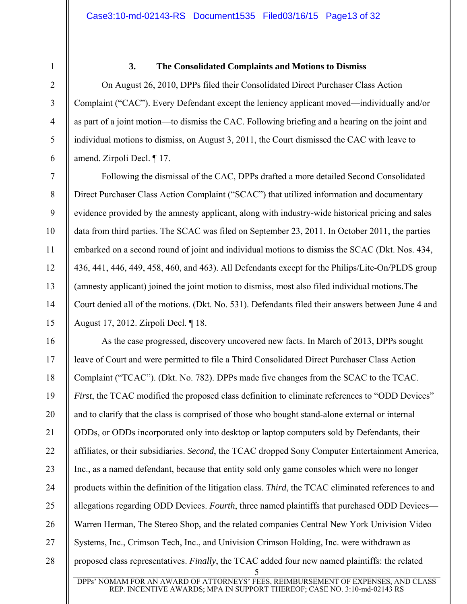1

2

3

4

5

6

7

8

9

10

11

12

13

14

15

#### **3. The Consolidated Complaints and Motions to Dismiss**

On August 26, 2010, DPPs filed their Consolidated Direct Purchaser Class Action Complaint ("CAC"). Every Defendant except the leniency applicant moved—individually and/or as part of a joint motion—to dismiss the CAC. Following briefing and a hearing on the joint and individual motions to dismiss, on August 3, 2011, the Court dismissed the CAC with leave to amend. Zirpoli Decl. ¶ 17.

Following the dismissal of the CAC, DPPs drafted a more detailed Second Consolidated Direct Purchaser Class Action Complaint ("SCAC") that utilized information and documentary evidence provided by the amnesty applicant, along with industry-wide historical pricing and sales data from third parties. The SCAC was filed on September 23, 2011. In October 2011, the parties embarked on a second round of joint and individual motions to dismiss the SCAC (Dkt. Nos. 434, 436, 441, 446, 449, 458, 460, and 463). All Defendants except for the Philips/Lite-On/PLDS group (amnesty applicant) joined the joint motion to dismiss, most also filed individual motions.The Court denied all of the motions. (Dkt. No. 531). Defendants filed their answers between June 4 and August 17, 2012. Zirpoli Decl. ¶ 18.

5 16 17 18 19 20 21 22 23 24 25 26 27 28 As the case progressed, discovery uncovered new facts. In March of 2013, DPPs sought leave of Court and were permitted to file a Third Consolidated Direct Purchaser Class Action Complaint ("TCAC"). (Dkt. No. 782). DPPs made five changes from the SCAC to the TCAC. *First*, the TCAC modified the proposed class definition to eliminate references to "ODD Devices" and to clarify that the class is comprised of those who bought stand-alone external or internal ODDs, or ODDs incorporated only into desktop or laptop computers sold by Defendants, their affiliates, or their subsidiaries. *Second*, the TCAC dropped Sony Computer Entertainment America, Inc., as a named defendant, because that entity sold only game consoles which were no longer products within the definition of the litigation class. *Third*, the TCAC eliminated references to and allegations regarding ODD Devices. *Fourth*, three named plaintiffs that purchased ODD Devices— Warren Herman, The Stereo Shop, and the related companies Central New York Univision Video Systems, Inc., Crimson Tech, Inc., and Univision Crimson Holding, Inc. were withdrawn as proposed class representatives. *Finally*, the TCAC added four new named plaintiffs: the related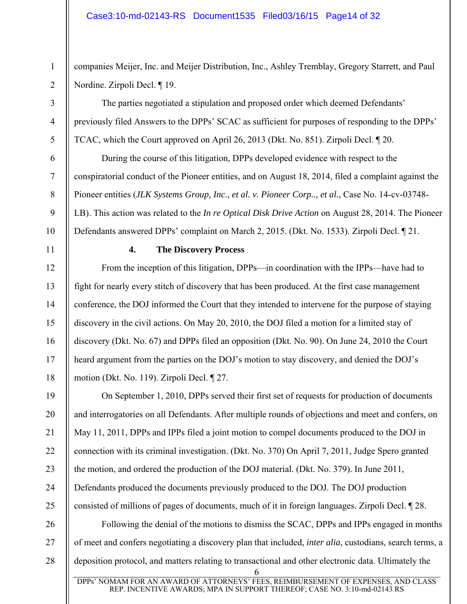companies Meijer, Inc. and Meijer Distribution, Inc., Ashley Tremblay, Gregory Starrett, and Paul Nordine. Zirpoli Decl. ¶ 19.

The parties negotiated a stipulation and proposed order which deemed Defendants' previously filed Answers to the DPPs' SCAC as sufficient for purposes of responding to the DPPs' TCAC, which the Court approved on April 26, 2013 (Dkt. No. 851). Zirpoli Decl. ¶ 20.

During the course of this litigation, DPPs developed evidence with respect to the conspiratorial conduct of the Pioneer entities, and on August 18, 2014, filed a complaint against the Pioneer entities (*JLK Systems Group, Inc., et al. v. Pioneer Corp.., et al.*, Case No. 14-cv-03748- LB). This action was related to the *In re Optical Disk Drive Action* on August 28, 2014. The Pioneer Defendants answered DPPs' complaint on March 2, 2015. (Dkt. No. 1533). Zirpoli Decl. ¶ 21.

1

2

3

4

5

6

7

8

9

10

11

12

13

14

15

16

17

18

19

20

21

22

23

24

25

## **4. The Discovery Process**

From the inception of this litigation, DPPs—in coordination with the IPPs—have had to fight for nearly every stitch of discovery that has been produced. At the first case management conference, the DOJ informed the Court that they intended to intervene for the purpose of staying discovery in the civil actions. On May 20, 2010, the DOJ filed a motion for a limited stay of discovery (Dkt. No. 67) and DPPs filed an opposition (Dkt. No. 90). On June 24, 2010 the Court heard argument from the parties on the DOJ's motion to stay discovery, and denied the DOJ's motion (Dkt. No. 119). Zirpoli Decl. ¶ 27.

On September 1, 2010, DPPs served their first set of requests for production of documents and interrogatories on all Defendants. After multiple rounds of objections and meet and confers, on May 11, 2011, DPPs and IPPs filed a joint motion to compel documents produced to the DOJ in connection with its criminal investigation. (Dkt. No. 370) On April 7, 2011, Judge Spero granted the motion, and ordered the production of the DOJ material. (Dkt. No. 379). In June 2011, Defendants produced the documents previously produced to the DOJ. The DOJ production consisted of millions of pages of documents, much of it in foreign languages. Zirpoli Decl. ¶ 28.

6 26 27 28 Following the denial of the motions to dismiss the SCAC, DPPs and IPPs engaged in months of meet and confers negotiating a discovery plan that included, *inter alia,* custodians, search terms, a deposition protocol, and matters relating to transactional and other electronic data. Ultimately the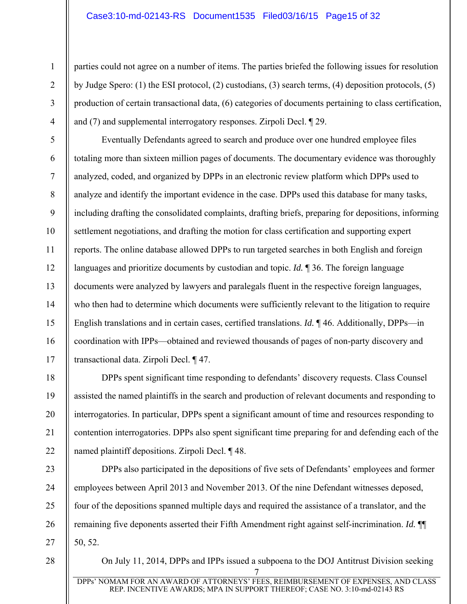#### Case3:10-md-02143-RS Document1535 Filed03/16/15 Page15 of 32

1

2

3

4

5

6

7

8

9

10

11

12

13

14

15

16

17

18

19

20

21

22

23

24

25

26

27

28

parties could not agree on a number of items. The parties briefed the following issues for resolution by Judge Spero: (1) the ESI protocol, (2) custodians, (3) search terms, (4) deposition protocols, (5) production of certain transactional data, (6) categories of documents pertaining to class certification, and (7) and supplemental interrogatory responses. Zirpoli Decl. ¶ 29.

Eventually Defendants agreed to search and produce over one hundred employee files totaling more than sixteen million pages of documents. The documentary evidence was thoroughly analyzed, coded, and organized by DPPs in an electronic review platform which DPPs used to analyze and identify the important evidence in the case. DPPs used this database for many tasks, including drafting the consolidated complaints, drafting briefs, preparing for depositions, informing settlement negotiations, and drafting the motion for class certification and supporting expert reports. The online database allowed DPPs to run targeted searches in both English and foreign languages and prioritize documents by custodian and topic. *Id.* ¶ 36. The foreign language documents were analyzed by lawyers and paralegals fluent in the respective foreign languages, who then had to determine which documents were sufficiently relevant to the litigation to require English translations and in certain cases, certified translations. *Id.* ¶ 46. Additionally, DPPs—in coordination with IPPs—obtained and reviewed thousands of pages of non-party discovery and transactional data. Zirpoli Decl. ¶ 47.

DPPs spent significant time responding to defendants' discovery requests. Class Counsel assisted the named plaintiffs in the search and production of relevant documents and responding to interrogatories. In particular, DPPs spent a significant amount of time and resources responding to contention interrogatories. DPPs also spent significant time preparing for and defending each of the named plaintiff depositions. Zirpoli Decl. ¶ 48.

DPPs also participated in the depositions of five sets of Defendants' employees and former employees between April 2013 and November 2013. Of the nine Defendant witnesses deposed, four of the depositions spanned multiple days and required the assistance of a translator, and the remaining five deponents asserted their Fifth Amendment right against self-incrimination. *Id.* ¶¶ 50, 52.

On July 11, 2014, DPPs and IPPs issued a subpoena to the DOJ Antitrust Division seeking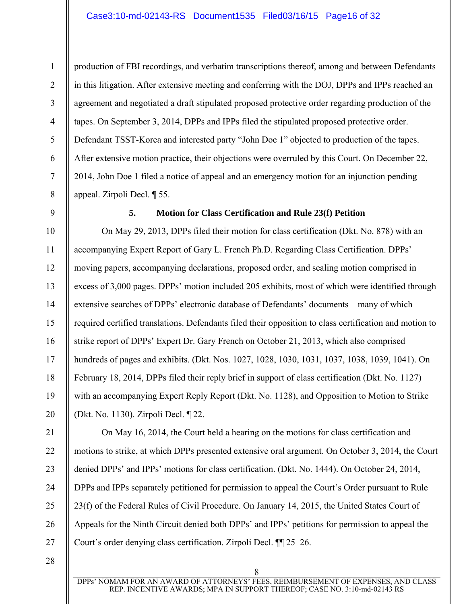production of FBI recordings, and verbatim transcriptions thereof, among and between Defendants in this litigation. After extensive meeting and conferring with the DOJ, DPPs and IPPs reached an agreement and negotiated a draft stipulated proposed protective order regarding production of the tapes. On September 3, 2014, DPPs and IPPs filed the stipulated proposed protective order. Defendant TSST-Korea and interested party "John Doe 1" objected to production of the tapes. After extensive motion practice, their objections were overruled by this Court. On December 22, 2014, John Doe 1 filed a notice of appeal and an emergency motion for an injunction pending appeal. Zirpoli Decl. ¶ 55.

9

1

2

3

4

5

6

7

8

#### **5. Motion for Class Certification and Rule 23(f) Petition**

10 11 12 13 14 15 16 17 18 19 20 On May 29, 2013, DPPs filed their motion for class certification (Dkt. No. 878) with an accompanying Expert Report of Gary L. French Ph.D. Regarding Class Certification. DPPs' moving papers, accompanying declarations, proposed order, and sealing motion comprised in excess of 3,000 pages. DPPs' motion included 205 exhibits, most of which were identified through extensive searches of DPPs' electronic database of Defendants' documents—many of which required certified translations. Defendants filed their opposition to class certification and motion to strike report of DPPs' Expert Dr. Gary French on October 21, 2013, which also comprised hundreds of pages and exhibits. (Dkt. Nos. 1027, 1028, 1030, 1031, 1037, 1038, 1039, 1041). On February 18, 2014, DPPs filed their reply brief in support of class certification (Dkt. No. 1127) with an accompanying Expert Reply Report (Dkt. No. 1128), and Opposition to Motion to Strike (Dkt. No. 1130). Zirpoli Decl. ¶ 22.

25 On May 16, 2014, the Court held a hearing on the motions for class certification and motions to strike, at which DPPs presented extensive oral argument. On October 3, 2014, the Court denied DPPs' and IPPs' motions for class certification. (Dkt. No. 1444). On October 24, 2014, DPPs and IPPs separately petitioned for permission to appeal the Court's Order pursuant to Rule 23(f) of the Federal Rules of Civil Procedure. On January 14, 2015, the United States Court of Appeals for the Ninth Circuit denied both DPPs' and IPPs' petitions for permission to appeal the Court's order denying class certification. Zirpoli Decl. ¶¶ 25–26.

28

21

22

23

24

26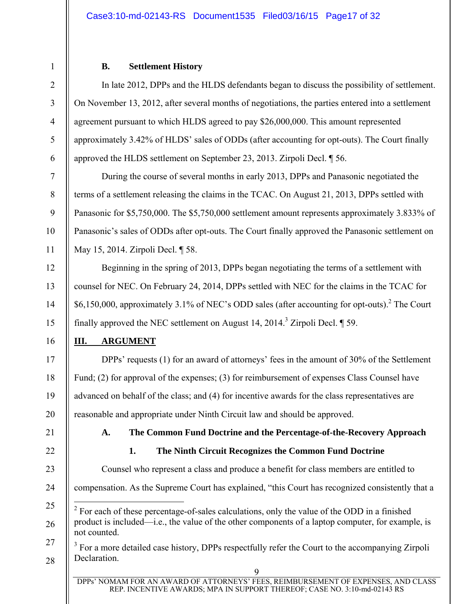#### **B. Settlement History**

In late 2012, DPPs and the HLDS defendants began to discuss the possibility of settlement. On November 13, 2012, after several months of negotiations, the parties entered into a settlement agreement pursuant to which HLDS agreed to pay \$26,000,000. This amount represented approximately 3.42% of HLDS' sales of ODDs (after accounting for opt-outs). The Court finally approved the HLDS settlement on September 23, 2013. Zirpoli Decl. ¶ 56.

During the course of several months in early 2013, DPPs and Panasonic negotiated the terms of a settlement releasing the claims in the TCAC. On August 21, 2013, DPPs settled with Panasonic for \$5,750,000. The \$5,750,000 settlement amount represents approximately 3.833% of Panasonic's sales of ODDs after opt-outs. The Court finally approved the Panasonic settlement on May 15, 2014. Zirpoli Decl. ¶ 58.

Beginning in the spring of 2013, DPPs began negotiating the terms of a settlement with counsel for NEC. On February 24, 2014, DPPs settled with NEC for the claims in the TCAC for \$6,150,000, approximately 3.1% of NEC's ODD sales (after accounting for opt-outs).<sup>2</sup> The Court finally approved the NEC settlement on August 14,  $2014.<sup>3</sup>$  Zirpoli Decl.  $\P$  59.

## **III. ARGUMENT**

DPPs' requests (1) for an award of attorneys' fees in the amount of 30% of the Settlement Fund; (2) for approval of the expenses; (3) for reimbursement of expenses Class Counsel have advanced on behalf of the class; and (4) for incentive awards for the class representatives are reasonable and appropriate under Ninth Circuit law and should be approved.

21

1

2

3

4

5

6

7

8

9

10

11

12

13

14

15

16

17

18

19

20

22

## **A. The Common Fund Doctrine and the Percentage-of-the-Recovery Approach**

## **1. The Ninth Circuit Recognizes the Common Fund Doctrine**

 $\overline{Q}$ 23 24 25 26 27 28 Counsel who represent a class and produce a benefit for class members are entitled to compensation. As the Supreme Court has explained, "this Court has recognized consistently that a  $\overline{a}$  $2^2$  For each of these percentage-of-sales calculations, only the value of the ODD in a finished product is included—i.e., the value of the other components of a laptop computer, for example, is not counted.  $3$  For a more detailed case history, DPPs respectfully refer the Court to the accompanying Zirpoli Declaration.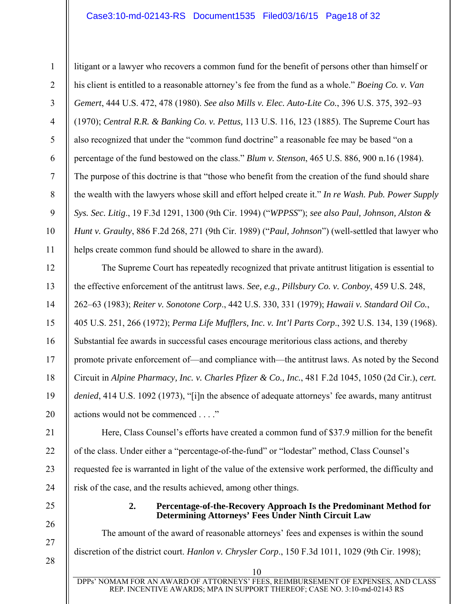#### Case3:10-md-02143-RS Document1535 Filed03/16/15 Page18 of 32

1 2 3 4 5 6 7 8 9 10 11 litigant or a lawyer who recovers a common fund for the benefit of persons other than himself or his client is entitled to a reasonable attorney's fee from the fund as a whole." *Boeing Co. v. Van Gemert*, 444 U.S. 472, 478 (1980). *See also Mills v. Elec. Auto-Lite Co.*, 396 U.S. 375, 392–93 (1970); *Central R.R. & Banking Co. v. Pettus,* 113 U.S. 116, 123 (1885). The Supreme Court has also recognized that under the "common fund doctrine" a reasonable fee may be based "on a percentage of the fund bestowed on the class." *Blum v. Stenson*, 465 U.S. 886, 900 n.16 (1984). The purpose of this doctrine is that "those who benefit from the creation of the fund should share the wealth with the lawyers whose skill and effort helped create it." *In re Wash. Pub. Power Supply Sys. Sec. Litig*., 19 F.3d 1291, 1300 (9th Cir. 1994) ("*WPPSS*"); *see also Paul, Johnson, Alston & Hunt v. Graulty*, 886 F.2d 268, 271 (9th Cir. 1989) ("*Paul, Johnson*") (well-settled that lawyer who helps create common fund should be allowed to share in the award).

The Supreme Court has repeatedly recognized that private antitrust litigation is essential to the effective enforcement of the antitrust laws. *See, e.g., Pillsbury Co. v. Conboy*, 459 U.S. 248, 262–63 (1983); *Reiter v. Sonotone Corp*., 442 U.S. 330, 331 (1979); *Hawaii v. Standard Oil Co.*, 405 U.S. 251, 266 (1972); *Perma Life Mufflers, Inc. v. Int'l Parts Corp*., 392 U.S. 134, 139 (1968). Substantial fee awards in successful cases encourage meritorious class actions, and thereby promote private enforcement of—and compliance with—the antitrust laws. As noted by the Second Circuit in *Alpine Pharmacy, Inc. v. Charles Pfizer & Co., Inc.*, 481 F.2d 1045, 1050 (2d Cir.), *cert. denied*, 414 U.S. 1092 (1973), "[i]n the absence of adequate attorneys' fee awards, many antitrust actions would not be commenced . . . ."

Here, Class Counsel's efforts have created a common fund of \$37.9 million for the benefit of the class. Under either a "percentage-of-the-fund" or "lodestar" method, Class Counsel's requested fee is warranted in light of the value of the extensive work performed, the difficulty and risk of the case, and the results achieved, among other things.

> **2. Percentage-of-the-Recovery Approach Is the Predominant Method for Determining Attorneys' Fees Under Ninth Circuit Law**

The amount of the award of reasonable attorneys' fees and expenses is within the sound discretion of the district court. *Hanlon v. Chrysler Corp*., 150 F.3d 1011, 1029 (9th Cir. 1998);

12

13

14

15

16

17

18

19

20

21

22

23

24

25

26

27

28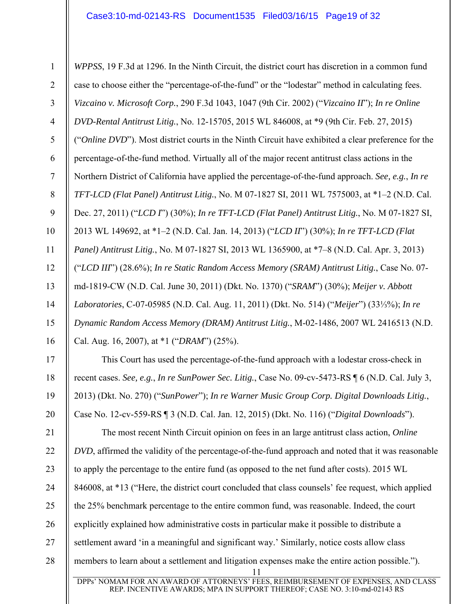1 2 3 4 5 6 7 8 9 10 11 12 13 14 15 16 *WPPSS*, 19 F.3d at 1296. In the Ninth Circuit, the district court has discretion in a common fund case to choose either the "percentage-of-the-fund" or the "lodestar" method in calculating fees. *Vizcaino v. Microsoft Corp.*, 290 F.3d 1043, 1047 (9th Cir. 2002) ("*Vizcaino II*"); *In re Online DVD-Rental Antitrust Litig.*, No. 12-15705, 2015 WL 846008, at \*9 (9th Cir. Feb. 27, 2015) ("*Online DVD*"). Most district courts in the Ninth Circuit have exhibited a clear preference for the percentage-of-the-fund method. Virtually all of the major recent antitrust class actions in the Northern District of California have applied the percentage-of-the-fund approach. *See, e.g.*, *In re TFT-LCD (Flat Panel) Antitrust Litig.*, No. M 07-1827 SI, 2011 WL 7575003, at \*1–2 (N.D. Cal. Dec. 27, 2011) ("*LCD I*") (30%); *In re TFT-LCD (Flat Panel) Antitrust Litig.*, No. M 07-1827 SI, 2013 WL 149692, at \*1–2 (N.D. Cal. Jan. 14, 2013) ("*LCD II*") (30%); *In re TFT-LCD (Flat Panel) Antitrust Litig.*, No. M 07-1827 SI, 2013 WL 1365900, at \*7–8 (N.D. Cal. Apr. 3, 2013) ("*LCD III*") (28.6%); *In re Static Random Access Memory (SRAM) Antitrust Litig.*, Case No. 07 md-1819-CW (N.D. Cal. June 30, 2011) (Dkt. No. 1370) ("*SRAM*") (30%); *Meijer v. Abbott Laboratories*, C-07-05985 (N.D. Cal. Aug. 11, 2011) (Dkt. No. 514) ("*Meijer*") (33⅓%); *In re Dynamic Random Access Memory (DRAM) Antitrust Litig.*, M-02-1486, 2007 WL 2416513 (N.D. Cal. Aug. 16, 2007), at \*1 ("*DRAM*") (25%).

This Court has used the percentage-of-the-fund approach with a lodestar cross-check in recent cases. *See, e.g.*, *In re SunPower Sec. Litig.*, Case No. 09-cv-5473-RS ¶ 6 (N.D. Cal. July 3, 2013) (Dkt. No. 270) ("*SunPower*"); *In re Warner Music Group Corp. Digital Downloads Litig.*, Case No. 12-cv-559-RS ¶ 3 (N.D. Cal. Jan. 12, 2015) (Dkt. No. 116) ("*Digital Downloads*").

17

18

19

20

11 21 22 23 24 25 26 27 28 The most recent Ninth Circuit opinion on fees in an large antitrust class action, *Online DVD*, affirmed the validity of the percentage-of-the-fund approach and noted that it was reasonable to apply the percentage to the entire fund (as opposed to the net fund after costs). 2015 WL 846008, at \*13 ("Here, the district court concluded that class counsels' fee request, which applied the 25% benchmark percentage to the entire common fund, was reasonable. Indeed, the court explicitly explained how administrative costs in particular make it possible to distribute a settlement award 'in a meaningful and significant way.' Similarly, notice costs allow class members to learn about a settlement and litigation expenses make the entire action possible.").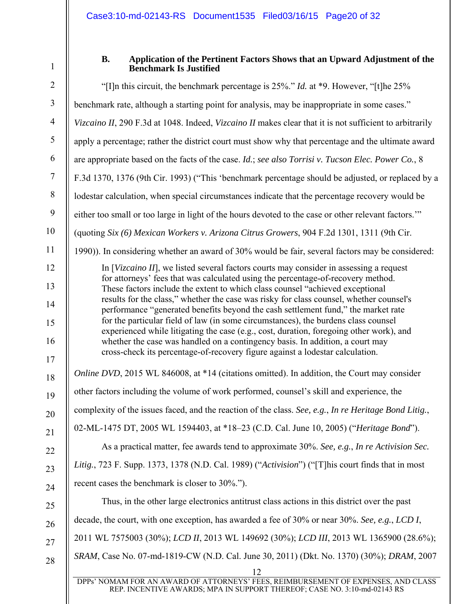1

#### **B. Application of the Pertinent Factors Shows that an Upward Adjustment of the Benchmark Is Justified**

| $\overline{2}$ | "[I]n this circuit, the benchmark percentage is $25\%$ ." <i>Id.</i> at *9. However, "[t]he $25\%$                                                                            |
|----------------|-------------------------------------------------------------------------------------------------------------------------------------------------------------------------------|
| $\mathfrak{Z}$ | benchmark rate, although a starting point for analysis, may be inappropriate in some cases."                                                                                  |
| $\overline{4}$ | Vizcaino II, 290 F.3d at 1048. Indeed, Vizcaino II makes clear that it is not sufficient to arbitrarily                                                                       |
| 5              | apply a percentage; rather the district court must show why that percentage and the ultimate award                                                                            |
| 6              | are appropriate based on the facts of the case. Id.; see also Torrisi v. Tucson Elec. Power Co., 8                                                                            |
| $\overline{7}$ | F.3d 1370, 1376 (9th Cir. 1993) ("This 'benchmark percentage should be adjusted, or replaced by a                                                                             |
| $8\,$          | lodestar calculation, when special circumstances indicate that the percentage recovery would be                                                                               |
| 9              | either too small or too large in light of the hours devoted to the case or other relevant factors."                                                                           |
| 10             | (quoting Six (6) Mexican Workers v. Arizona Citrus Growers, 904 F.2d 1301, 1311 (9th Cir.                                                                                     |
| 11             | 1990)). In considering whether an award of 30% would be fair, several factors may be considered:                                                                              |
| 12             | In [Vizcaino II], we listed several factors courts may consider in assessing a request                                                                                        |
| 13             | for attorneys' fees that was calculated using the percentage-of-recovery method.<br>These factors include the extent to which class counsel "achieved exceptional             |
| 14             | results for the class," whether the case was risky for class counsel, whether counsel's<br>performance "generated benefits beyond the cash settlement fund," the market rate  |
| 15             | for the particular field of law (in some circumstances), the burdens class counsel<br>experienced while litigating the case (e.g., cost, duration, foregoing other work), and |
| 16             | whether the case was handled on a contingency basis. In addition, a court may                                                                                                 |
| 17             | cross-check its percentage-of-recovery figure against a lodestar calculation.                                                                                                 |
| 18             | Online DVD, 2015 WL 846008, at *14 (citations omitted). In addition, the Court may consider                                                                                   |
| 19             | other factors including the volume of work performed, counsel's skill and experience, the                                                                                     |
| 20             | complexity of the issues faced, and the reaction of the class. See, e.g., In re Heritage Bond Litig.,                                                                         |
| 21             | 02-ML-1475 DT, 2005 WL 1594403, at *18–23 (C.D. Cal. June 10, 2005) ("Heritage Bond").                                                                                        |
| 22             | As a practical matter, fee awards tend to approximate 30%. See, e.g., In re Activision Sec.                                                                                   |
| 23             | Litig., 723 F. Supp. 1373, 1378 (N.D. Cal. 1989) ("Activision") ("[T]his court finds that in most                                                                             |
| 24             | recent cases the benchmark is closer to 30%.").                                                                                                                               |
| 25             | Thus, in the other large electronics antitrust class actions in this district over the past                                                                                   |
| 26             | decade, the court, with one exception, has awarded a fee of 30% or near 30%. See, e.g., LCD I,                                                                                |
| 27             | 2011 WL 7575003 (30%); LCD II, 2013 WL 149692 (30%); LCD III, 2013 WL 1365900 (28.6%);                                                                                        |
| 28             | SRAM, Case No. 07-md-1819-CW (N.D. Cal. June 30, 2011) (Dkt. No. 1370) (30%); DRAM, 2007                                                                                      |
|                | 12                                                                                                                                                                            |
|                | DPPs' NOMAM FOR AN AWARD OF ATTORNEYS' FEES, REIMBURSEMENT OF EXPENSES, AND CLASS<br>REP. INCENTIVE AWARDS; MPA IN SUPPORT THEREOF; CASE NO. 3:10-md-02143 RS                 |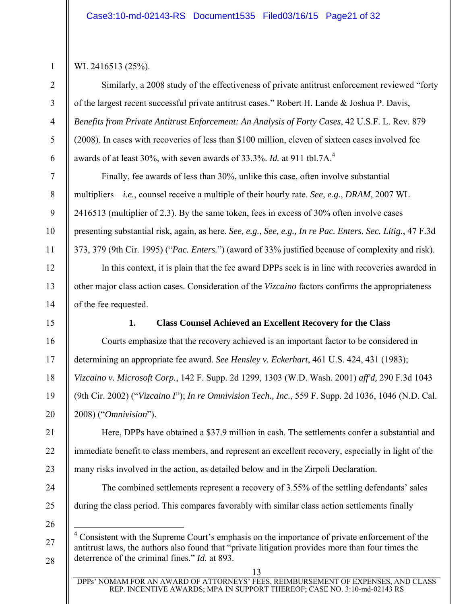## WL 2416513 (25%).

1

2

3

4

5

6

7

8

9

10

11

12

13

14

16

17

18

19

20

21

22

23

24

25

Similarly, a 2008 study of the effectiveness of private antitrust enforcement reviewed "forty of the largest recent successful private antitrust cases." Robert H. Lande & Joshua P. Davis, *Benefits from Private Antitrust Enforcement: An Analysis of Forty Cases*, 42 U.S.F. L. Rev. 879 (2008). In cases with recoveries of less than \$100 million, eleven of sixteen cases involved fee awards of at least 30%, with seven awards of 33.3%. *Id.* at 911 tbl.7A.<sup>4</sup>

Finally, fee awards of less than 30%, unlike this case, often involve substantial multipliers—*i.e.*, counsel receive a multiple of their hourly rate. *See, e.g.*, *DRAM*, 2007 WL 2416513 (multiplier of 2.3). By the same token, fees in excess of 30% often involve cases presenting substantial risk, again, as here. *See, e.g.*, *See, e.g., In re Pac. Enters. Sec. Litig.*, 47 F.3d 373, 379 (9th Cir. 1995) ("*Pac. Enters.*") (award of 33% justified because of complexity and risk).

In this context, it is plain that the fee award DPPs seek is in line with recoveries awarded in other major class action cases. Consideration of the *Vizcaino* factors confirms the appropriateness of the fee requested.

15

#### **1. Class Counsel Achieved an Excellent Recovery for the Class**

Courts emphasize that the recovery achieved is an important factor to be considered in determining an appropriate fee award. *See Hensley v. Eckerhart*, 461 U.S. 424, 431 (1983); *Vizcaino v. Microsoft Corp.*, 142 F. Supp. 2d 1299, 1303 (W.D. Wash. 2001) *aff'd,* 290 F.3d 1043 (9th Cir. 2002) ("*Vizcaino I*"); *In re Omnivision Tech., Inc.*, 559 F. Supp. 2d 1036, 1046 (N.D. Cal. 2008) ("*Omnivision*").

Here, DPPs have obtained a \$37.9 million in cash. The settlements confer a substantial and immediate benefit to class members, and represent an excellent recovery, especially in light of the many risks involved in the action, as detailed below and in the Zirpoli Declaration.

The combined settlements represent a recovery of 3.55% of the settling defendants' sales during the class period. This compares favorably with similar class action settlements finally

26

27

 $\overline{a}$ 

<sup>&</sup>lt;sup>4</sup> Consistent with the Supreme Court's emphasis on the importance of private enforcement of the antitrust laws, the authors also found that "private litigation provides more than four times the deterrence of the criminal fines." *Id.* at 893.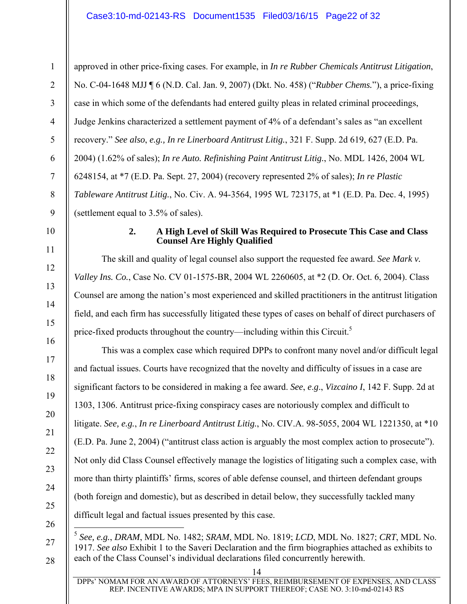1 2 3 4 5 6 7 8 9 approved in other price-fixing cases. For example, in *In re Rubber Chemicals Antitrust Litigation*, No. C-04-1648 MJJ ¶ 6 (N.D. Cal. Jan. 9, 2007) (Dkt. No. 458) ("*Rubber Chems.*"), a price-fixing case in which some of the defendants had entered guilty pleas in related criminal proceedings, Judge Jenkins characterized a settlement payment of 4% of a defendant's sales as "an excellent recovery." *See also*, *e.g., In re Linerboard Antitrust Litig.*, 321 F. Supp. 2d 619, 627 (E.D. Pa. 2004) (1.62% of sales); *In re Auto. Refinishing Paint Antitrust Litig.*, No. MDL 1426, 2004 WL 6248154, at \*7 (E.D. Pa. Sept. 27, 2004) (recovery represented 2% of sales); *In re Plastic Tableware Antitrust Litig.*, No. Civ. A. 94-3564, 1995 WL 723175, at \*1 (E.D. Pa. Dec. 4, 1995) (settlement equal to 3.5% of sales).

10

11

12

13

14

15

16

17

18

19

20

21

22

23

24

25

26

27

#### **2. A High Level of Skill Was Required to Prosecute This Case and Class Counsel Are Highly Qualified**

The skill and quality of legal counsel also support the requested fee award. *See Mark v. Valley Ins. Co.*, Case No. CV 01-1575-BR, 2004 WL 2260605, at \*2 (D. Or. Oct. 6, 2004). Class Counsel are among the nation's most experienced and skilled practitioners in the antitrust litigation field, and each firm has successfully litigated these types of cases on behalf of direct purchasers of price-fixed products throughout the country—including within this Circuit.<sup>5</sup>

This was a complex case which required DPPs to confront many novel and/or difficult legal and factual issues. Courts have recognized that the novelty and difficulty of issues in a case are significant factors to be considered in making a fee award. *See*, *e*.*g*., *Vizcaino I*, 142 F. Supp. 2d at 1303, 1306. Antitrust price-fixing conspiracy cases are notoriously complex and difficult to litigate. *See, e.g.*, *In re Linerboard Antitrust Litig.*, No. CIV.A. 98-5055, 2004 WL 1221350, at \*10 (E.D. Pa. June 2, 2004) ("antitrust class action is arguably the most complex action to prosecute"). Not only did Class Counsel effectively manage the logistics of litigating such a complex case, with more than thirty plaintiffs' firms, scores of able defense counsel, and thirteen defendant groups (both foreign and domestic), but as described in detail below, they successfully tackled many difficult legal and factual issues presented by this case.

 $\overline{a}$ <sup>5</sup> *See, e.g.*, *DRAM*, MDL No. 1482; *SRAM*, MDL No. 1819; *LCD*, MDL No. 1827; *CRT*, MDL No. 1917. *See also* Exhibit 1 to the Saveri Declaration and the firm biographies attached as exhibits to each of the Class Counsel's individual declarations filed concurrently herewith.

14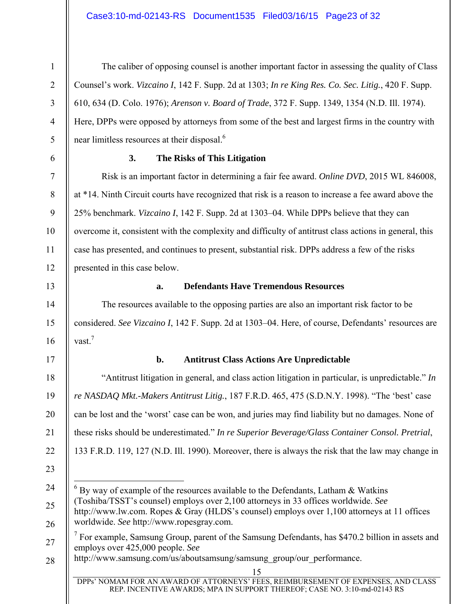4

5

6

7

8

9

10

11

12

1

The caliber of opposing counsel is another important factor in assessing the quality of Class Counsel's work. *Vizcaino I*, 142 F. Supp. 2d at 1303; *In re King Res. Co. Sec. Litig.*, 420 F. Supp. 610, 634 (D. Colo. 1976); *Arenson v. Board of Trade*, 372 F. Supp. 1349, 1354 (N.D. Ill. 1974). Here, DPPs were opposed by attorneys from some of the best and largest firms in the country with near limitless resources at their disposal.<sup>6</sup>

#### **3. The Risks of This Litigation**

Risk is an important factor in determining a fair fee award. *Online DVD*, 2015 WL 846008, at \*14. Ninth Circuit courts have recognized that risk is a reason to increase a fee award above the 25% benchmark. *Vizcaino I*, 142 F. Supp. 2d at 1303–04. While DPPs believe that they can overcome it, consistent with the complexity and difficulty of antitrust class actions in general, this case has presented, and continues to present, substantial risk. DPPs address a few of the risks presented in this case below.

#### 13

14

15

16

18

19

20

21

22

23

### **a. Defendants Have Tremendous Resources**

The resources available to the opposing parties are also an important risk factor to be considered. *See Vizcaino I*, 142 F. Supp. 2d at 1303–04. Here, of course, Defendants' resources are vast.<sup>7</sup>

## 17

## **b. Antitrust Class Actions Are Unpredictable**

"Antitrust litigation in general, and class action litigation in particular, is unpredictable." *In re NASDAQ Mkt.-Makers Antitrust Litig.*, 187 F.R.D. 465, 475 (S.D.N.Y. 1998). "The 'best' case can be lost and the 'worst' case can be won, and juries may find liability but no damages. None of these risks should be underestimated." *In re Superior Beverage/Glass Container Consol. Pretrial*, 133 F.R.D. 119, 127 (N.D. Ill. 1990). Moreover, there is always the risk that the law may change in

<sup>24</sup>  25 26  $\overline{a}$  $6$  By way of example of the resources available to the Defendants, Latham & Watkins (Toshiba/TSST's counsel) employs over 2,100 attorneys in 33 offices worldwide. *See*  http://www.lw.com. Ropes & Gray (HLDS's counsel) employs over 1,100 attorneys at 11 offices worldwide. *See* http://www.ropesgray.com.

<sup>27</sup>   $7$  For example, Samsung Group, parent of the Samsung Defendants, has \$470.2 billion in assets and employs over 425,000 people. *See* 

<sup>28</sup>  http://www.samsung.com/us/aboutsamsung/samsung\_group/our\_performance.

<sup>15</sup>

DPPs' NOMAM FOR AN AWARD OF ATTORNEYS' FEES, REIMBURSEMENT OF EXPENSES, AND CLASS REP. INCENTIVE AWARDS; MPA IN SUPPORT THEREOF; CASE NO. 3:10-md-02143 RS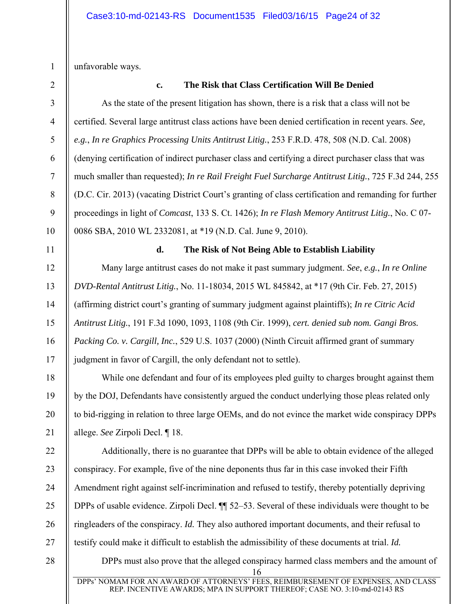unfavorable ways.

1

2

3

4

5

6

7

8

9

10

11

12

13

14

15

16

17

18

19

20

21

22

23

24

25

26

27

28

#### **c. The Risk that Class Certification Will Be Denied**

As the state of the present litigation has shown, there is a risk that a class will not be certified. Several large antitrust class actions have been denied certification in recent years. *See, e.g.*, *In re Graphics Processing Units Antitrust Litig.*, 253 F.R.D. 478, 508 (N.D. Cal. 2008) (denying certification of indirect purchaser class and certifying a direct purchaser class that was much smaller than requested); *In re Rail Freight Fuel Surcharge Antitrust Litig.*, 725 F.3d 244, 255 (D.C. Cir. 2013) (vacating District Court's granting of class certification and remanding for further proceedings in light of *Comcast*, 133 S. Ct. 1426); *In re Flash Memory Antitrust Litig.*, No. C 07- 0086 SBA, 2010 WL 2332081, at \*19 (N.D. Cal. June 9, 2010). **d. The Risk of Not Being Able to Establish Liability**  Many large antitrust cases do not make it past summary judgment. *See*, *e.g.*, *In re Online DVD-Rental Antitrust Litig.*, No. 11-18034, 2015 WL 845842, at \*17 (9th Cir. Feb. 27, 2015) (affirming district court's granting of summary judgment against plaintiffs); *In re Citric Acid Antitrust Litig.*, 191 F.3d 1090, 1093, 1108 (9th Cir. 1999), *cert. denied sub nom. Gangi Bros.* 

*Packing Co. v. Cargill, Inc.*, 529 U.S. 1037 (2000) (Ninth Circuit affirmed grant of summary judgment in favor of Cargill, the only defendant not to settle).

While one defendant and four of its employees pled guilty to charges brought against them by the DOJ, Defendants have consistently argued the conduct underlying those pleas related only to bid-rigging in relation to three large OEMs, and do not evince the market wide conspiracy DPPs allege. *See* Zirpoli Decl. ¶ 18.

Additionally, there is no guarantee that DPPs will be able to obtain evidence of the alleged conspiracy. For example, five of the nine deponents thus far in this case invoked their Fifth Amendment right against self-incrimination and refused to testify, thereby potentially depriving DPPs of usable evidence. Zirpoli Decl. ¶¶ 52–53. Several of these individuals were thought to be ringleaders of the conspiracy. *Id.* They also authored important documents, and their refusal to testify could make it difficult to establish the admissibility of these documents at trial. *Id.* 

DPPs must also prove that the alleged conspiracy harmed class members and the amount of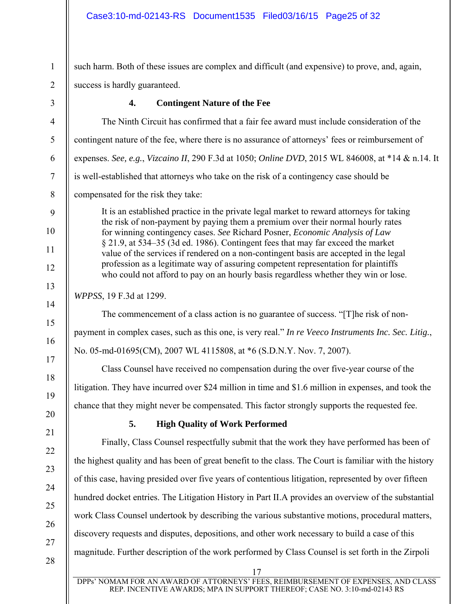1 2 such harm. Both of these issues are complex and difficult (and expensive) to prove, and, again, success is hardly guaranteed.

3

4

5

6

7

8

9

10

11

12

13

14

15

16

17

18

19

20

21

22

23

24

25

26

27

28

**4. Contingent Nature of the Fee** 

The Ninth Circuit has confirmed that a fair fee award must include consideration of the contingent nature of the fee, where there is no assurance of attorneys' fees or reimbursement of expenses. *See, e.g.*, *Vizcaino II*, 290 F.3d at 1050; *Online DVD*, 2015 WL 846008, at \*14 & n.14. It is well-established that attorneys who take on the risk of a contingency case should be compensated for the risk they take:

It is an established practice in the private legal market to reward attorneys for taking the risk of non-payment by paying them a premium over their normal hourly rates for winning contingency cases. *See* Richard Posner, *Economic Analysis of Law* § 21.9, at 534–35 (3d ed. 1986). Contingent fees that may far exceed the market value of the services if rendered on a non-contingent basis are accepted in the legal profession as a legitimate way of assuring competent representation for plaintiffs who could not afford to pay on an hourly basis regardless whether they win or lose.

*WPPSS*, 19 F.3d at 1299.

The commencement of a class action is no guarantee of success. "[T]he risk of nonpayment in complex cases, such as this one, is very real." *In re Veeco Instruments Inc. Sec. Litig.*, No. 05-md-01695(CM), 2007 WL 4115808, at \*6 (S.D.N.Y. Nov. 7, 2007).

Class Counsel have received no compensation during the over five-year course of the litigation. They have incurred over \$24 million in time and \$1.6 million in expenses, and took the chance that they might never be compensated. This factor strongly supports the requested fee.

# **5. High Quality of Work Performed**

Finally, Class Counsel respectfully submit that the work they have performed has been of the highest quality and has been of great benefit to the class. The Court is familiar with the history of this case, having presided over five years of contentious litigation, represented by over fifteen hundred docket entries. The Litigation History in Part II.A provides an overview of the substantial work Class Counsel undertook by describing the various substantive motions, procedural matters, discovery requests and disputes, depositions, and other work necessary to build a case of this magnitude. Further description of the work performed by Class Counsel is set forth in the Zirpoli

DPPs' NOMAM FOR AN AWARD OF ATTORNEYS' FEES, REIMBURSEMENT OF EXPENSES, AND CLASS REP. INCENTIVE AWARDS; MPA IN SUPPORT THEREOF; CASE NO. 3:10-md-02143 RS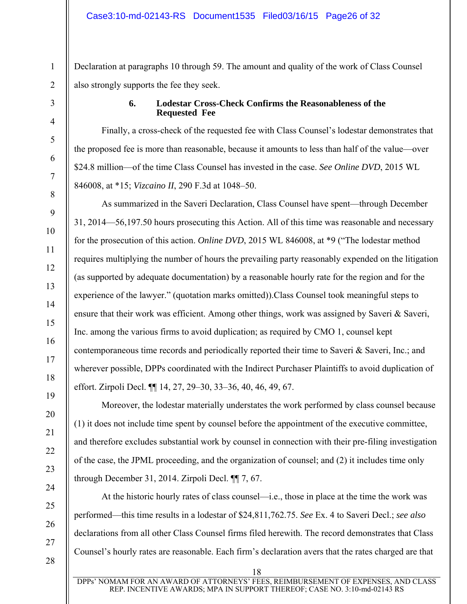Declaration at paragraphs 10 through 59. The amount and quality of the work of Class Counsel also strongly supports the fee they seek.

#### **6. Lodestar Cross-Check Confirms the Reasonableness of the Requested Fee**

Finally, a cross-check of the requested fee with Class Counsel's lodestar demonstrates that the proposed fee is more than reasonable, because it amounts to less than half of the value—over \$24.8 million—of the time Class Counsel has invested in the case. *See Online DVD*, 2015 WL 846008, at \*15; *Vizcaino II*, 290 F.3d at 1048–50.

As summarized in the Saveri Declaration, Class Counsel have spent—through December 31, 2014—56,197.50 hours prosecuting this Action. All of this time was reasonable and necessary for the prosecution of this action. *Online DVD*, 2015 WL 846008, at \*9 ("The lodestar method requires multiplying the number of hours the prevailing party reasonably expended on the litigation (as supported by adequate documentation) by a reasonable hourly rate for the region and for the experience of the lawyer." (quotation marks omitted)).Class Counsel took meaningful steps to ensure that their work was efficient. Among other things, work was assigned by Saveri & Saveri, Inc. among the various firms to avoid duplication; as required by CMO 1, counsel kept contemporaneous time records and periodically reported their time to Saveri & Saveri, Inc.; and wherever possible, DPPs coordinated with the Indirect Purchaser Plaintiffs to avoid duplication of effort. Zirpoli Decl. ¶¶ 14, 27, 29–30, 33–36, 40, 46, 49, 67.

Moreover, the lodestar materially understates the work performed by class counsel because (1) it does not include time spent by counsel before the appointment of the executive committee, and therefore excludes substantial work by counsel in connection with their pre-filing investigation of the case, the JPML proceeding, and the organization of counsel; and (2) it includes time only through December 31, 2014. Zirpoli Decl. ¶¶ 7, 67.

At the historic hourly rates of class counsel—i.e., those in place at the time the work was performed—this time results in a lodestar of \$24,811,762.75. *See* Ex. 4 to Saveri Decl.; *see also* declarations from all other Class Counsel firms filed herewith. The record demonstrates that Class Counsel's hourly rates are reasonable. Each firm's declaration avers that the rates charged are that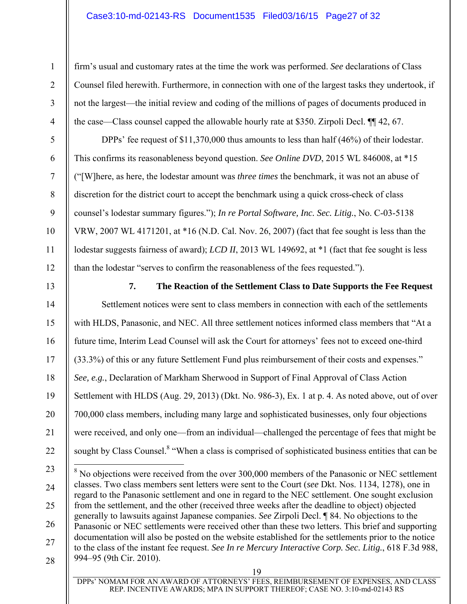### Case3:10-md-02143-RS Document1535 Filed03/16/15 Page27 of 32

firm's usual and customary rates at the time the work was performed. *See* declarations of Class Counsel filed herewith. Furthermore, in connection with one of the largest tasks they undertook, if not the largest—the initial review and coding of the millions of pages of documents produced in the case—Class counsel capped the allowable hourly rate at \$350. Zirpoli Decl. ¶¶ 42, 67.

DPPs' fee request of \$11,370,000 thus amounts to less than half (46%) of their lodestar. This confirms its reasonableness beyond question. *See Online DVD*, 2015 WL 846008, at \*15 ("[W]here, as here, the lodestar amount was *three times* the benchmark, it was not an abuse of discretion for the district court to accept the benchmark using a quick cross-check of class counsel's lodestar summary figures."); *In re Portal Software, Inc. Sec. Litig.*, No. C-03-5138 VRW, 2007 WL 4171201, at \*16 (N.D. Cal. Nov. 26, 2007) (fact that fee sought is less than the lodestar suggests fairness of award); *LCD II*, 2013 WL 149692, at \*1 (fact that fee sought is less than the lodestar "serves to confirm the reasonableness of the fees requested.").

13

1

2

3

4

5

6

7

8

9

10

11

12

**7. The Reaction of the Settlement Class to Date Supports the Fee Request** 

14 15 16 17 18 19 20 21 22 Settlement notices were sent to class members in connection with each of the settlements with HLDS, Panasonic, and NEC. All three settlement notices informed class members that "At a future time, Interim Lead Counsel will ask the Court for attorneys' fees not to exceed one-third (33.3%) of this or any future Settlement Fund plus reimbursement of their costs and expenses." *See, e.g.*, Declaration of Markham Sherwood in Support of Final Approval of Class Action Settlement with HLDS (Aug. 29, 2013) (Dkt. No. 986-3), Ex. 1 at p. 4. As noted above, out of over 700,000 class members, including many large and sophisticated businesses, only four objections were received, and only one—from an individual—challenged the percentage of fees that might be sought by Class Counsel.<sup>8</sup> "When a class is comprised of sophisticated business entities that can be

<sup>23</sup>  24 25 26 27 28 <sup>8</sup> No objections were received from the over 300,000 members of the Panasonic or NEC settlement classes. Two class members sent letters were sent to the Court (*see* Dkt. Nos. 1134, 1278), one in regard to the Panasonic settlement and one in regard to the NEC settlement. One sought exclusion from the settlement, and the other (received three weeks after the deadline to object) objected generally to lawsuits against Japanese companies. *See* Zirpoli Decl. ¶ 84. No objections to the Panasonic or NEC settlements were received other than these two letters. This brief and supporting documentation will also be posted on the website established for the settlements prior to the notice to the class of the instant fee request. *See In re Mercury Interactive Corp. Sec. Litig.*, 618 F.3d 988, 994–95 (9th Cir. 2010).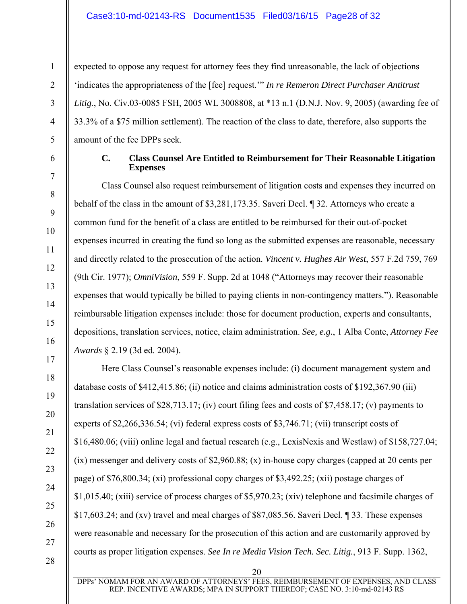expected to oppose any request for attorney fees they find unreasonable, the lack of objections 'indicates the appropriateness of the [fee] request.'" *In re Remeron Direct Purchaser Antitrust Litig.*, No. Civ.03-0085 FSH, 2005 WL 3008808, at \*13 n.1 (D.N.J. Nov. 9, 2005) (awarding fee of 33.3% of a \$75 million settlement). The reaction of the class to date, therefore, also supports the amount of the fee DPPs seek.

1

2

3

4

5

6

7

8

9

10

11

12

13

14

15

16

17

18

19

20

21

22

23

24

25

26

27

28

#### **C. Class Counsel Are Entitled to Reimbursement for Their Reasonable Litigation Expenses**

Class Counsel also request reimbursement of litigation costs and expenses they incurred on behalf of the class in the amount of \$3,281,173.35. Saveri Decl. ¶ 32. Attorneys who create a common fund for the benefit of a class are entitled to be reimbursed for their out-of-pocket expenses incurred in creating the fund so long as the submitted expenses are reasonable, necessary and directly related to the prosecution of the action. *Vincent v. Hughes Air West*, 557 F.2d 759, 769 (9th Cir. 1977); *OmniVision*, 559 F. Supp. 2d at 1048 ("Attorneys may recover their reasonable expenses that would typically be billed to paying clients in non-contingency matters."). Reasonable reimbursable litigation expenses include: those for document production, experts and consultants, depositions, translation services, notice, claim administration. *See, e.g.*, 1 Alba Conte, *Attorney Fee Awards* § 2.19 (3d ed. 2004).

Here Class Counsel's reasonable expenses include: (i) document management system and database costs of \$412,415.86; (ii) notice and claims administration costs of \$192,367.90 (iii) translation services of \$28,713.17; (iv) court filing fees and costs of \$7,458.17; (v) payments to experts of \$2,266,336.54; (vi) federal express costs of \$3,746.71; (vii) transcript costs of \$16,480.06; (viii) online legal and factual research (e.g., LexisNexis and Westlaw) of \$158,727.04; (ix) messenger and delivery costs of \$2,960.88; (x) in-house copy charges (capped at 20 cents per page) of \$76,800.34; (xi) professional copy charges of \$3,492.25; (xii) postage charges of \$1,015.40; (xiii) service of process charges of \$5,970.23; (xiv) telephone and facsimile charges of \$17,603.24; and (xv) travel and meal charges of \$87,085.56. Saveri Decl. ¶ 33. These expenses were reasonable and necessary for the prosecution of this action and are customarily approved by courts as proper litigation expenses. *See In re Media Vision Tech. Sec. Litig.*, 913 F. Supp. 1362,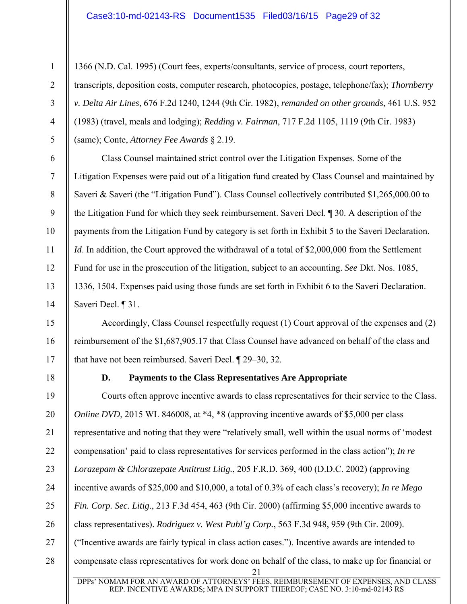1366 (N.D. Cal. 1995) (Court fees, experts/consultants, service of process, court reporters, transcripts, deposition costs, computer research, photocopies, postage, telephone/fax); *Thornberry v. Delta Air Lines*, 676 F.2d 1240, 1244 (9th Cir. 1982), *remanded on other grounds*, 461 U.S. 952 (1983) (travel, meals and lodging); *Redding v. Fairman*, 717 F.2d 1105, 1119 (9th Cir. 1983) (same); Conte, *Attorney Fee Awards* § 2.19.

Class Counsel maintained strict control over the Litigation Expenses. Some of the Litigation Expenses were paid out of a litigation fund created by Class Counsel and maintained by Saveri & Saveri (the "Litigation Fund"). Class Counsel collectively contributed \$1,265,000.00 to the Litigation Fund for which they seek reimbursement. Saveri Decl. ¶ 30. A description of the payments from the Litigation Fund by category is set forth in Exhibit 5 to the Saveri Declaration. *Id*. In addition, the Court approved the withdrawal of a total of \$2,000,000 from the Settlement Fund for use in the prosecution of the litigation, subject to an accounting. *See* Dkt. Nos. 1085, 1336, 1504. Expenses paid using those funds are set forth in Exhibit 6 to the Saveri Declaration. Saveri Decl. ¶ 31.

Accordingly, Class Counsel respectfully request (1) Court approval of the expenses and (2) reimbursement of the \$1,687,905.17 that Class Counsel have advanced on behalf of the class and that have not been reimbursed. Saveri Decl. ¶ 29–30, 32.

1

2

3

4

5

6

7

8

9

10

11

12

13

14

15

16

17

18

## **D. Payments to the Class Representatives Are Appropriate**

21 19 20 21 22 23 24 25 26 27 28 Courts often approve incentive awards to class representatives for their service to the Class. *Online DVD*, 2015 WL 846008, at \*4, \*8 (approving incentive awards of \$5,000 per class representative and noting that they were "relatively small, well within the usual norms of 'modest compensation' paid to class representatives for services performed in the class action"); *In re Lorazepam & Chlorazepate Antitrust Litig.*, 205 F.R.D. 369, 400 (D.D.C. 2002) (approving incentive awards of \$25,000 and \$10,000, a total of 0.3% of each class's recovery); *In re Mego Fin. Corp. Sec. Litig*., 213 F.3d 454, 463 (9th Cir. 2000) (affirming \$5,000 incentive awards to class representatives). *Rodriguez v. West Publ'g Corp.*, 563 F.3d 948, 959 (9th Cir. 2009). ("Incentive awards are fairly typical in class action cases."). Incentive awards are intended to compensate class representatives for work done on behalf of the class, to make up for financial or

DPPs' NOMAM FOR AN AWARD OF ATTORNEYS' FEES, REIMBURSEMENT OF EXPENSES, AND CLASS REP. INCENTIVE AWARDS; MPA IN SUPPORT THEREOF; CASE NO. 3:10-md-02143 RS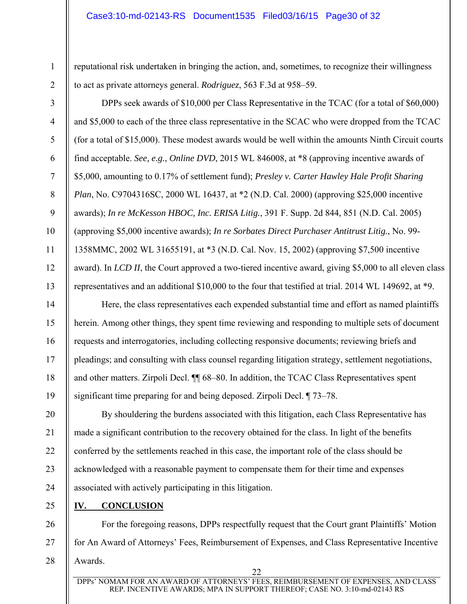reputational risk undertaken in bringing the action, and, sometimes, to recognize their willingness to act as private attorneys general. *Rodriguez*, 563 F.3d at 958–59.

DPPs seek awards of \$10,000 per Class Representative in the TCAC (for a total of \$60,000) and \$5,000 to each of the three class representative in the SCAC who were dropped from the TCAC (for a total of \$15,000). These modest awards would be well within the amounts Ninth Circuit courts find acceptable. *See, e.g.*, *Online DVD*, 2015 WL 846008, at \*8 (approving incentive awards of \$5,000, amounting to 0.17% of settlement fund); *Presley v. Carter Hawley Hale Profit Sharing Plan*, No. C9704316SC, 2000 WL 16437, at \*2 (N.D. Cal. 2000) (approving \$25,000 incentive awards); *In re McKesson HBOC, Inc. ERISA Litig.*, 391 F. Supp. 2d 844, 851 (N.D. Cal. 2005) (approving \$5,000 incentive awards); *In re Sorbates Direct Purchaser Antitrust Litig.*, No. 99- 1358MMC, 2002 WL 31655191, at \*3 (N.D. Cal. Nov. 15, 2002) (approving \$7,500 incentive award). In *LCD II*, the Court approved a two-tiered incentive award, giving \$5,000 to all eleven class representatives and an additional \$10,000 to the four that testified at trial. 2014 WL 149692, at \*9.

Here, the class representatives each expended substantial time and effort as named plaintiffs herein. Among other things, they spent time reviewing and responding to multiple sets of document requests and interrogatories, including collecting responsive documents; reviewing briefs and pleadings; and consulting with class counsel regarding litigation strategy, settlement negotiations, and other matters. Zirpoli Decl. ¶¶ 68–80. In addition, the TCAC Class Representatives spent significant time preparing for and being deposed. Zirpoli Decl. ¶ 73–78.

By shouldering the burdens associated with this litigation, each Class Representative has made a significant contribution to the recovery obtained for the class. In light of the benefits conferred by the settlements reached in this case, the important role of the class should be acknowledged with a reasonable payment to compensate them for their time and expenses associated with actively participating in this litigation.

25

1

2

3

4

5

6

7

8

9

10

11

12

13

14

15

16

17

18

19

20

21

22

23

24

#### **IV. CONCLUSION**

26 27 28 For the foregoing reasons, DPPs respectfully request that the Court grant Plaintiffs' Motion for An Award of Attorneys' Fees, Reimbursement of Expenses, and Class Representative Incentive Awards.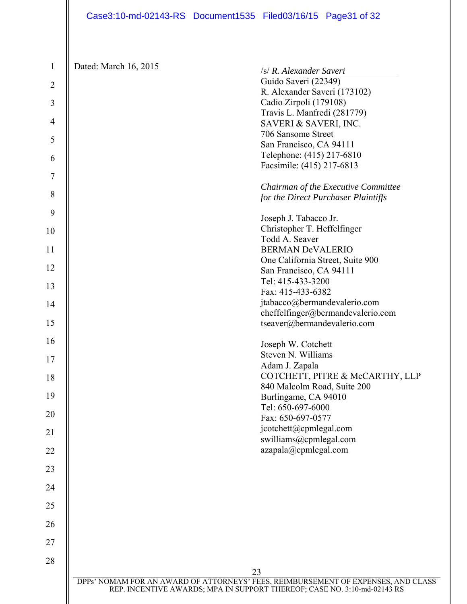| Dated: March 16, 2015 | /s/ R. Alexander Saveri                                                           |
|-----------------------|-----------------------------------------------------------------------------------|
|                       | Guido Saveri (22349)                                                              |
|                       | R. Alexander Saveri (173102)                                                      |
|                       | Cadio Zirpoli (179108)                                                            |
|                       | Travis L. Manfredi (281779)                                                       |
|                       | SAVERI & SAVERI, INC.                                                             |
|                       | 706 Sansome Street                                                                |
|                       | San Francisco, CA 94111                                                           |
|                       | Telephone: (415) 217-6810                                                         |
|                       | Facsimile: (415) 217-6813                                                         |
|                       |                                                                                   |
|                       | Chairman of the Executive Committee                                               |
|                       | for the Direct Purchaser Plaintiffs                                               |
|                       | Joseph J. Tabacco Jr.                                                             |
|                       | Christopher T. Heffelfinger                                                       |
|                       | Todd A. Seaver                                                                    |
|                       | <b>BERMAN DeVALERIO</b>                                                           |
|                       | One California Street, Suite 900                                                  |
|                       | San Francisco, CA 94111                                                           |
|                       | Tel: 415-433-3200                                                                 |
|                       | Fax: 415-433-6382                                                                 |
|                       | jtabacco@bermandevalerio.com                                                      |
|                       | cheffelfinger@bermandevalerio.com                                                 |
|                       | tseaver@bermandevalerio.com                                                       |
|                       | Joseph W. Cotchett                                                                |
|                       | Steven N. Williams                                                                |
|                       | Adam J. Zapala                                                                    |
|                       | COTCHETT, PITRE & McCARTHY, LLP                                                   |
|                       | 840 Malcolm Road, Suite 200                                                       |
|                       | Burlingame, CA 94010                                                              |
|                       | Tel: 650-697-6000                                                                 |
|                       | Fax: 650-697-0577                                                                 |
|                       | jcotchett@cpmlegal.com                                                            |
|                       | swilliams@cpmlegal.com                                                            |
|                       | azapala@cpmlegal.com                                                              |
|                       |                                                                                   |
|                       |                                                                                   |
|                       |                                                                                   |
|                       |                                                                                   |
|                       |                                                                                   |
|                       |                                                                                   |
|                       | 23                                                                                |
|                       | DPPs' NOMAM FOR AN AWARD OF ATTORNEYS' FEES, REIMBURSEMENT OF EXPENSES, AND CLASS |